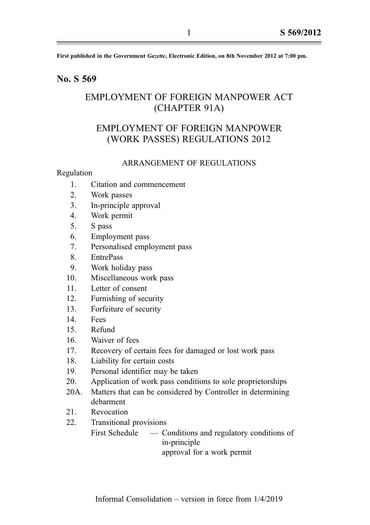First published in the Government Gazette, Electronic Edition, on 8th November 2012 at 7:00 pm.

# No. S 569

# EMPLOYMENT OF FOREIGN MANPOWER ACT (CHAPTER 91A)

# EMPLOYMENT OF FOREIGN MANPOWER (WORK PASSES) REGULATIONS 2012

#### ARRANGEMENT OF REGULATIONS

#### Regulation

- 1. Citation and commencement
- 2. Work passes
- 3. In-principle approval
- 4. Work permit
- 5. S pass
- 6. Employment pass
- 7. Personalised employment pass
- 8. EntrePass
- 9. Work holiday pass
- 10. Miscellaneous work pass
- 11. Letter of consent
- 12. Furnishing of security
- 13. Forfeiture of security
- 14. Fees
- 15. Refund
- 16. Waiver of fees
- 17. Recovery of certain fees for damaged or lost work pass
- 18. Liability for certain costs
- 19. Personal identifier may be taken
- 20. Application of work pass conditions to sole proprietorships
- 20A. Matters that can be considered by Controller in determining debarment
- 21. Revocation
- 22. Transitional provisions

First Schedule — Conditions and regulatory conditions of in-principle approval for a work permit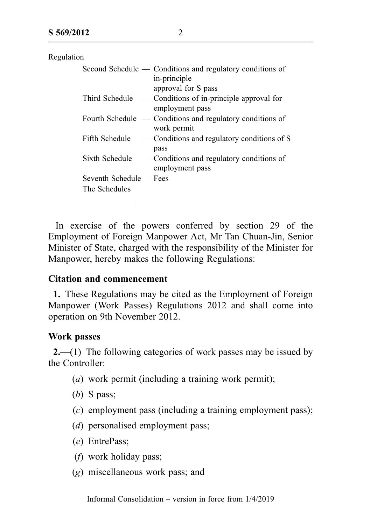Regulation

|                                         | Second Schedule $-$ Conditions and regulatory conditions of<br>in-principle              |
|-----------------------------------------|------------------------------------------------------------------------------------------|
|                                         | approval for S pass                                                                      |
|                                         | Third Schedule $\qquad$ - Conditions of in-principle approval for<br>employment pass     |
|                                         | Fourth Schedule $-$ Conditions and regulatory conditions of<br>work permit               |
|                                         | Fifth Schedule $\quad$ — Conditions and regulatory conditions of S<br>pass               |
|                                         | Sixth Schedule $\quad$ $\sim$ Conditions and regulatory conditions of<br>employment pass |
| Seventh Schedule— Fees<br>The Schedules |                                                                                          |

In exercise of the powers conferred by section 29 of the Employment of Foreign Manpower Act, Mr Tan Chuan-Jin, Senior Minister of State, charged with the responsibility of the Minister for Manpower, hereby makes the following Regulations:

## Citation and commencement

1. These Regulations may be cited as the Employment of Foreign Manpower (Work Passes) Regulations 2012 and shall come into operation on 9th November 2012.

## Work passes

2.—(1) The following categories of work passes may be issued by the Controller:

- (a) work permit (including a training work permit);
- (b) S pass;
- (c) employment pass (including a training employment pass);
- (*d*) personalised employment pass;
- (e) EntrePass;
- (f) work holiday pass;
- (g) miscellaneous work pass; and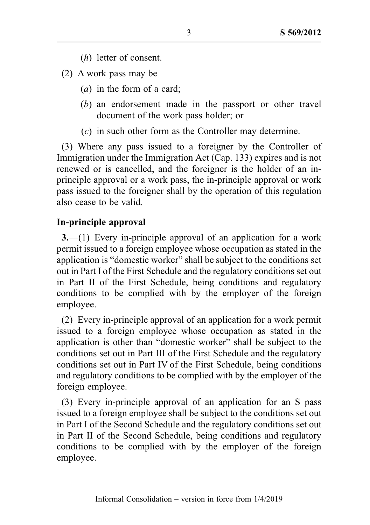- (h) letter of consent.
- (2) A work pass may be  $-$ 
	- (a) in the form of a card;
	- (b) an endorsement made in the passport or other travel document of the work pass holder; or
	- (c) in such other form as the Controller may determine.

(3) Where any pass issued to a foreigner by the Controller of Immigration under the Immigration Act (Cap. 133) expires and is not renewed or is cancelled, and the foreigner is the holder of an inprinciple approval or a work pass, the in-principle approval or work pass issued to the foreigner shall by the operation of this regulation also cease to be valid.

# In-principle approval

3.—(1) Every in-principle approval of an application for a work permit issued to a foreign employee whose occupation as stated in the application is "domestic worker" shall be subject to the conditions set out in Part I of the First Schedule and the regulatory conditions set out in Part II of the First Schedule, being conditions and regulatory conditions to be complied with by the employer of the foreign employee.

(2) Every in-principle approval of an application for a work permit issued to a foreign employee whose occupation as stated in the application is other than "domestic worker" shall be subject to the conditions set out in Part III of the First Schedule and the regulatory conditions set out in Part IV of the First Schedule, being conditions and regulatory conditions to be complied with by the employer of the foreign employee.

(3) Every in-principle approval of an application for an S pass issued to a foreign employee shall be subject to the conditions set out in Part I of the Second Schedule and the regulatory conditions set out in Part II of the Second Schedule, being conditions and regulatory conditions to be complied with by the employer of the foreign employee.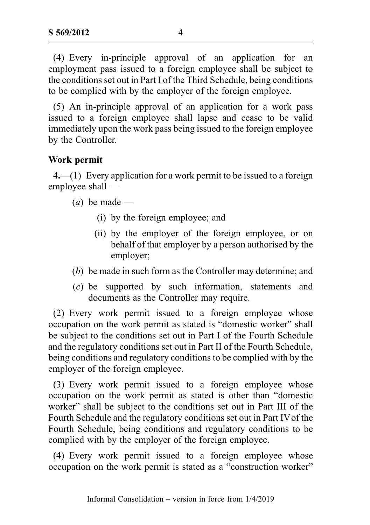(4) Every in-principle approval of an application for an employment pass issued to a foreign employee shall be subject to the conditions set out in Part I of the Third Schedule, being conditions to be complied with by the employer of the foreign employee.

(5) An in-principle approval of an application for a work pass issued to a foreign employee shall lapse and cease to be valid immediately upon the work pass being issued to the foreign employee by the Controller.

# Work permit

4.—(1) Every application for a work permit to be issued to a foreign employee shall —

(*a*) be made —

- (i) by the foreign employee; and
- (ii) by the employer of the foreign employee, or on behalf of that employer by a person authorised by the employer;
- (b) be made in such form as the Controller may determine; and
- (c) be supported by such information, statements and documents as the Controller may require.

(2) Every work permit issued to a foreign employee whose occupation on the work permit as stated is "domestic worker" shall be subject to the conditions set out in Part I of the Fourth Schedule and the regulatory conditions set out in Part II of the Fourth Schedule, being conditions and regulatory conditions to be complied with by the employer of the foreign employee.

(3) Every work permit issued to a foreign employee whose occupation on the work permit as stated is other than "domestic worker" shall be subject to the conditions set out in Part III of the Fourth Schedule and the regulatory conditions set out in Part IVof the Fourth Schedule, being conditions and regulatory conditions to be complied with by the employer of the foreign employee.

(4) Every work permit issued to a foreign employee whose occupation on the work permit is stated as a "construction worker"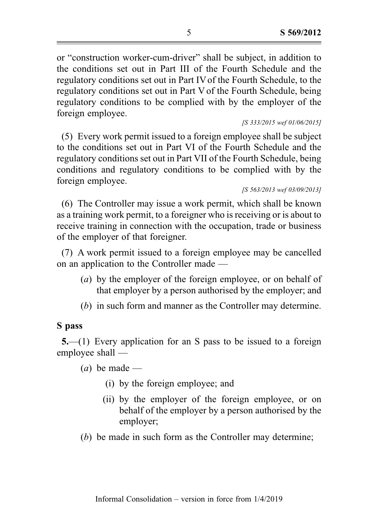or "construction worker-cum-driver" shall be subject, in addition to the conditions set out in Part III of the Fourth Schedule and the regulatory conditions set out in Part IV of the Fourth Schedule, to the regulatory conditions set out in Part V of the Fourth Schedule, being regulatory conditions to be complied with by the employer of the foreign employee.

### [S 333/2015 wef 01/06/2015]

(5) Every work permit issued to a foreign employee shall be subject to the conditions set out in Part VI of the Fourth Schedule and the regulatory conditions set out in Part VII of the Fourth Schedule, being conditions and regulatory conditions to be complied with by the foreign employee.

### [S 563/2013 wef 03/09/2013]

(6) The Controller may issue a work permit, which shall be known as a training work permit, to a foreigner who is receiving or is about to receive training in connection with the occupation, trade or business of the employer of that foreigner.

(7) A work permit issued to a foreign employee may be cancelled on an application to the Controller made —

- (a) by the employer of the foreign employee, or on behalf of that employer by a person authorised by the employer; and
- (b) in such form and manner as the Controller may determine.

# S pass

5.—(1) Every application for an S pass to be issued to a foreign employee shall —

 $(a)$  be made —

- (i) by the foreign employee; and
- (ii) by the employer of the foreign employee, or on behalf of the employer by a person authorised by the employer;
- (b) be made in such form as the Controller may determine;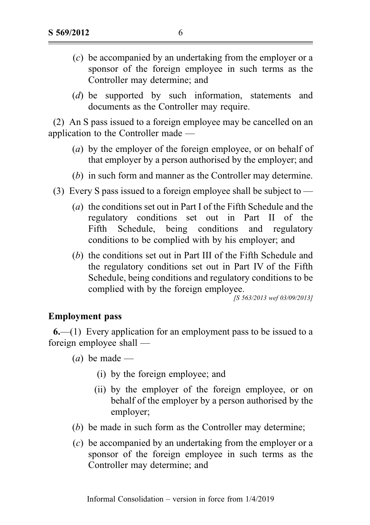- (c) be accompanied by an undertaking from the employer or a sponsor of the foreign employee in such terms as the Controller may determine; and
- (d) be supported by such information, statements and documents as the Controller may require.

(2) An S pass issued to a foreign employee may be cancelled on an application to the Controller made —

- (a) by the employer of the foreign employee, or on behalf of that employer by a person authorised by the employer; and
- (b) in such form and manner as the Controller may determine.
- (3) Every S pass issued to a foreign employee shall be subject to
	- (a) the conditions set out in Part I of the Fifth Schedule and the regulatory conditions set out in Part II of the Fifth Schedule, being conditions and regulatory conditions to be complied with by his employer; and
	- (b) the conditions set out in Part III of the Fifth Schedule and the regulatory conditions set out in Part IV of the Fifth Schedule, being conditions and regulatory conditions to be complied with by the foreign employee.

[S 563/2013 wef 03/09/2013]

## Employment pass

 $6-(1)$  Every application for an employment pass to be issued to a foreign employee shall —

- $(a)$  be made
	- (i) by the foreign employee; and
	- (ii) by the employer of the foreign employee, or on behalf of the employer by a person authorised by the employer;
- (b) be made in such form as the Controller may determine;
- (c) be accompanied by an undertaking from the employer or a sponsor of the foreign employee in such terms as the Controller may determine; and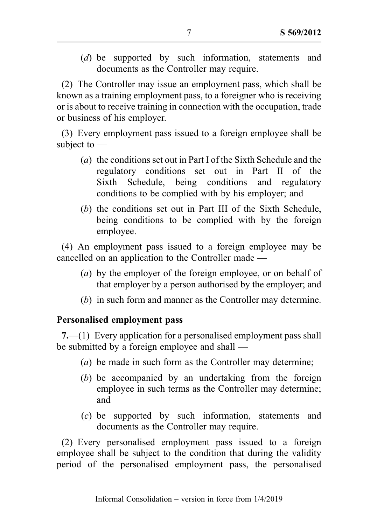(d) be supported by such information, statements and documents as the Controller may require.

(2) The Controller may issue an employment pass, which shall be known as a training employment pass, to a foreigner who is receiving or is about to receive training in connection with the occupation, trade or business of his employer.

(3) Every employment pass issued to a foreign employee shall be subject to —

- (a) the conditions set out in Part I of the Sixth Schedule and the regulatory conditions set out in Part II of the Sixth Schedule, being conditions and regulatory conditions to be complied with by his employer; and
- (b) the conditions set out in Part III of the Sixth Schedule, being conditions to be complied with by the foreign employee.

(4) An employment pass issued to a foreign employee may be cancelled on an application to the Controller made —

- (a) by the employer of the foreign employee, or on behalf of that employer by a person authorised by the employer; and
- (b) in such form and manner as the Controller may determine.

# Personalised employment pass

7.—(1) Every application for a personalised employment pass shall be submitted by a foreign employee and shall —

- (a) be made in such form as the Controller may determine;
- (b) be accompanied by an undertaking from the foreign employee in such terms as the Controller may determine; and
- (c) be supported by such information, statements and documents as the Controller may require.

(2) Every personalised employment pass issued to a foreign employee shall be subject to the condition that during the validity period of the personalised employment pass, the personalised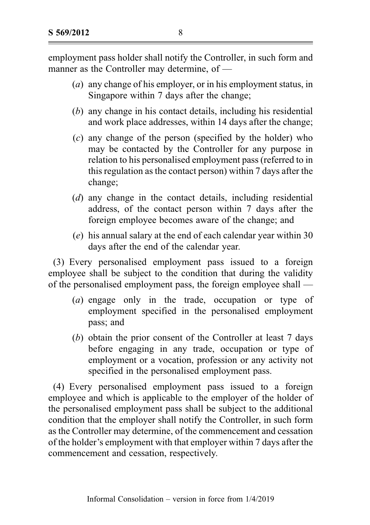employment pass holder shall notify the Controller, in such form and manner as the Controller may determine, of —

- (a) any change of his employer, or in his employment status, in Singapore within 7 days after the change;
- (b) any change in his contact details, including his residential and work place addresses, within 14 days after the change;
- (c) any change of the person (specified by the holder) who may be contacted by the Controller for any purpose in relation to his personalised employment pass (referred to in this regulation as the contact person) within 7 days after the change;
- (d) any change in the contact details, including residential address, of the contact person within 7 days after the foreign employee becomes aware of the change; and
- (e) his annual salary at the end of each calendar year within 30 days after the end of the calendar year.

(3) Every personalised employment pass issued to a foreign employee shall be subject to the condition that during the validity of the personalised employment pass, the foreign employee shall —

- (a) engage only in the trade, occupation or type of employment specified in the personalised employment pass; and
- (b) obtain the prior consent of the Controller at least 7 days before engaging in any trade, occupation or type of employment or a vocation, profession or any activity not specified in the personalised employment pass.

(4) Every personalised employment pass issued to a foreign employee and which is applicable to the employer of the holder of the personalised employment pass shall be subject to the additional condition that the employer shall notify the Controller, in such form as the Controller may determine, of the commencement and cessation of the holder's employment with that employer within 7 days after the commencement and cessation, respectively.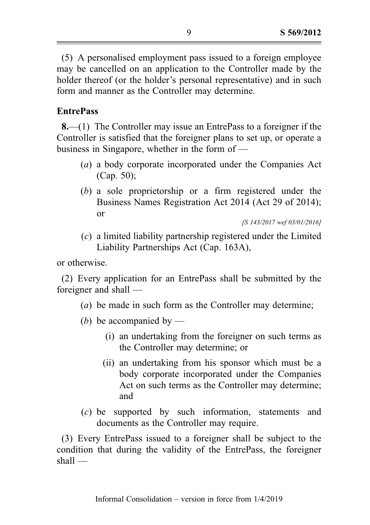(5) A personalised employment pass issued to a foreign employee may be cancelled on an application to the Controller made by the holder thereof (or the holder's personal representative) and in such form and manner as the Controller may determine.

# **EntrePass**

8.—(1) The Controller may issue an EntrePass to a foreigner if the Controller is satisfied that the foreigner plans to set up, or operate a business in Singapore, whether in the form of —

- (a) a body corporate incorporated under the Companies Act (Cap. 50);
- (b) a sole proprietorship or a firm registered under the Business Names Registration Act 2014 (Act 29 of 2014); or

```
[S 143/2017 wef 03/01/2016]
```
(c) a limited liability partnership registered under the Limited Liability Partnerships Act (Cap. 163A),

or otherwise.

(2) Every application for an EntrePass shall be submitted by the foreigner and shall —

- (a) be made in such form as the Controller may determine;
- (*b*) be accompanied by
	- (i) an undertaking from the foreigner on such terms as the Controller may determine; or
	- (ii) an undertaking from his sponsor which must be a body corporate incorporated under the Companies Act on such terms as the Controller may determine; and
- (c) be supported by such information, statements and documents as the Controller may require.

(3) Every EntrePass issued to a foreigner shall be subject to the condition that during the validity of the EntrePass, the foreigner shall —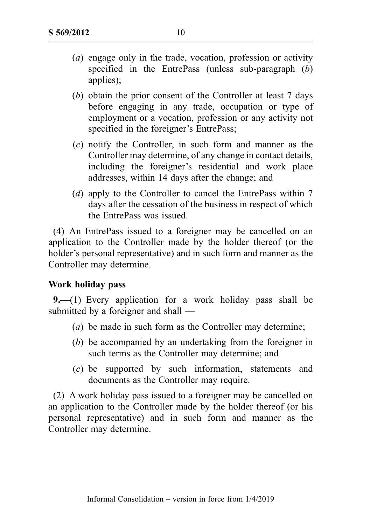- (a) engage only in the trade, vocation, profession or activity specified in the EntrePass (unless sub-paragraph (b) applies);
- (b) obtain the prior consent of the Controller at least 7 days before engaging in any trade, occupation or type of employment or a vocation, profession or any activity not specified in the foreigner's EntrePass;
- (c) notify the Controller, in such form and manner as the Controller may determine, of any change in contact details, including the foreigner's residential and work place addresses, within 14 days after the change; and
- (d) apply to the Controller to cancel the EntrePass within 7 days after the cessation of the business in respect of which the EntrePass was issued.

(4) An EntrePass issued to a foreigner may be cancelled on an application to the Controller made by the holder thereof (or the holder's personal representative) and in such form and manner as the Controller may determine.

# Work holiday pass

9.—(1) Every application for a work holiday pass shall be submitted by a foreigner and shall —

- (a) be made in such form as the Controller may determine;
- (b) be accompanied by an undertaking from the foreigner in such terms as the Controller may determine; and
- (c) be supported by such information, statements and documents as the Controller may require.

(2) A work holiday pass issued to a foreigner may be cancelled on an application to the Controller made by the holder thereof (or his personal representative) and in such form and manner as the Controller may determine.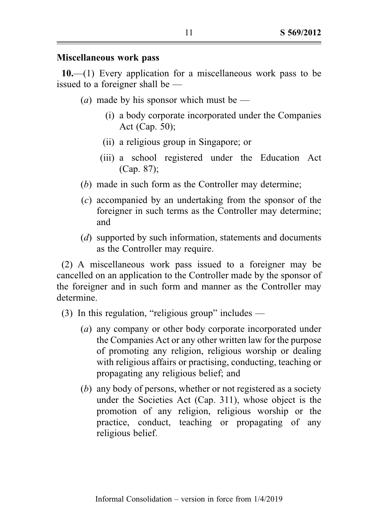# Miscellaneous work pass

 $10$ .—(1) Every application for a miscellaneous work pass to be issued to a foreigner shall be —

- (*a*) made by his sponsor which must be
	- (i) a body corporate incorporated under the Companies Act (Cap. 50);
	- (ii) a religious group in Singapore; or
	- (iii) a school registered under the Education Act (Cap. 87);
- (b) made in such form as the Controller may determine;
- (c) accompanied by an undertaking from the sponsor of the foreigner in such terms as the Controller may determine; and
- (*d*) supported by such information, statements and documents as the Controller may require.

(2) A miscellaneous work pass issued to a foreigner may be cancelled on an application to the Controller made by the sponsor of the foreigner and in such form and manner as the Controller may determine.

(3) In this regulation, "religious group" includes  $-$ 

- (a) any company or other body corporate incorporated under the Companies Act or any other written law for the purpose of promoting any religion, religious worship or dealing with religious affairs or practising, conducting, teaching or propagating any religious belief; and
- (b) any body of persons, whether or not registered as a society under the Societies Act (Cap. 311), whose object is the promotion of any religion, religious worship or the practice, conduct, teaching or propagating of any religious belief.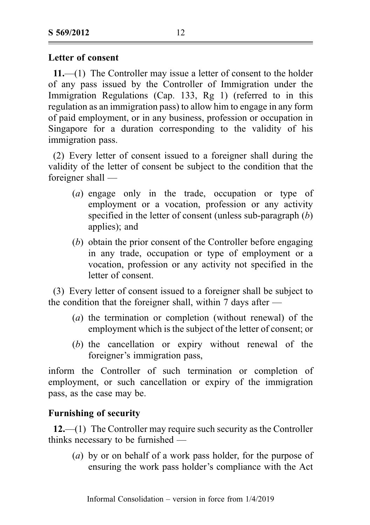# Letter of consent

11.—(1) The Controller may issue a letter of consent to the holder of any pass issued by the Controller of Immigration under the Immigration Regulations (Cap. 133, Rg 1) (referred to in this regulation as an immigration pass) to allow him to engage in any form of paid employment, or in any business, profession or occupation in Singapore for a duration corresponding to the validity of his immigration pass.

(2) Every letter of consent issued to a foreigner shall during the validity of the letter of consent be subject to the condition that the foreigner shall —

- (a) engage only in the trade, occupation or type of employment or a vocation, profession or any activity specified in the letter of consent (unless sub-paragraph (b) applies); and
- (b) obtain the prior consent of the Controller before engaging in any trade, occupation or type of employment or a vocation, profession or any activity not specified in the letter of consent.

(3) Every letter of consent issued to a foreigner shall be subject to the condition that the foreigner shall, within 7 days after —

- (a) the termination or completion (without renewal) of the employment which is the subject of the letter of consent; or
- (b) the cancellation or expiry without renewal of the foreigner's immigration pass,

inform the Controller of such termination or completion of employment, or such cancellation or expiry of the immigration pass, as the case may be.

# Furnishing of security

12.—(1) The Controller may require such security as the Controller thinks necessary to be furnished —

(a) by or on behalf of a work pass holder, for the purpose of ensuring the work pass holder's compliance with the Act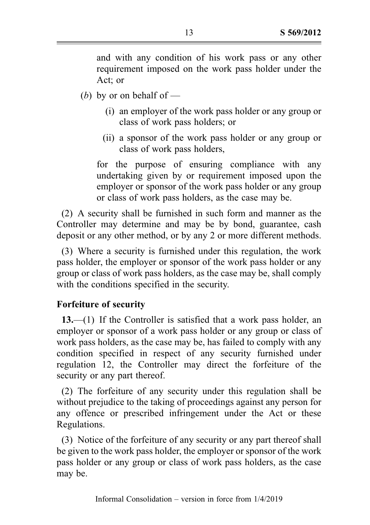and with any condition of his work pass or any other requirement imposed on the work pass holder under the Act; or

- (b) by or on behalf of  $-$ 
	- (i) an employer of the work pass holder or any group or class of work pass holders; or
	- (ii) a sponsor of the work pass holder or any group or class of work pass holders,

for the purpose of ensuring compliance with any undertaking given by or requirement imposed upon the employer or sponsor of the work pass holder or any group or class of work pass holders, as the case may be.

(2) A security shall be furnished in such form and manner as the Controller may determine and may be by bond, guarantee, cash deposit or any other method, or by any 2 or more different methods.

(3) Where a security is furnished under this regulation, the work pass holder, the employer or sponsor of the work pass holder or any group or class of work pass holders, as the case may be, shall comply with the conditions specified in the security.

# Forfeiture of security

13.—(1) If the Controller is satisfied that a work pass holder, an employer or sponsor of a work pass holder or any group or class of work pass holders, as the case may be, has failed to comply with any condition specified in respect of any security furnished under regulation 12, the Controller may direct the forfeiture of the security or any part thereof.

(2) The forfeiture of any security under this regulation shall be without prejudice to the taking of proceedings against any person for any offence or prescribed infringement under the Act or these Regulations.

(3) Notice of the forfeiture of any security or any part thereof shall be given to the work pass holder, the employer or sponsor of the work pass holder or any group or class of work pass holders, as the case may be.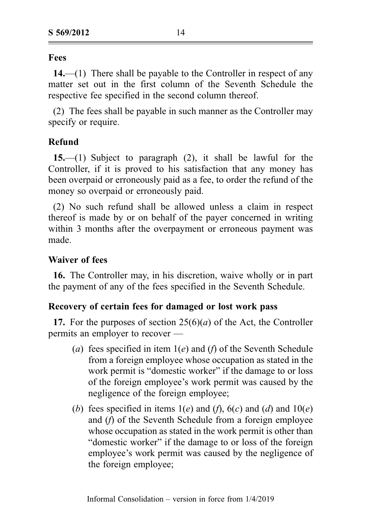# Fees

14.—(1) There shall be payable to the Controller in respect of any matter set out in the first column of the Seventh Schedule the respective fee specified in the second column thereof.

(2) The fees shall be payable in such manner as the Controller may specify or require.

# Refund

15.—(1) Subject to paragraph (2), it shall be lawful for the Controller, if it is proved to his satisfaction that any money has been overpaid or erroneously paid as a fee, to order the refund of the money so overpaid or erroneously paid.

(2) No such refund shall be allowed unless a claim in respect thereof is made by or on behalf of the payer concerned in writing within 3 months after the overpayment or erroneous payment was made.

# Waiver of fees

16. The Controller may, in his discretion, waive wholly or in part the payment of any of the fees specified in the Seventh Schedule.

# Recovery of certain fees for damaged or lost work pass

17. For the purposes of section  $25(6)(a)$  of the Act, the Controller permits an employer to recover —

- (a) fees specified in item  $1(e)$  and (f) of the Seventh Schedule from a foreign employee whose occupation as stated in the work permit is "domestic worker" if the damage to or loss of the foreign employee's work permit was caused by the negligence of the foreign employee;
- (b) fees specified in items  $1(e)$  and  $(f)$ ,  $6(c)$  and  $(d)$  and  $10(e)$ and (f) of the Seventh Schedule from a foreign employee whose occupation as stated in the work permit is other than "domestic worker" if the damage to or loss of the foreign employee's work permit was caused by the negligence of the foreign employee;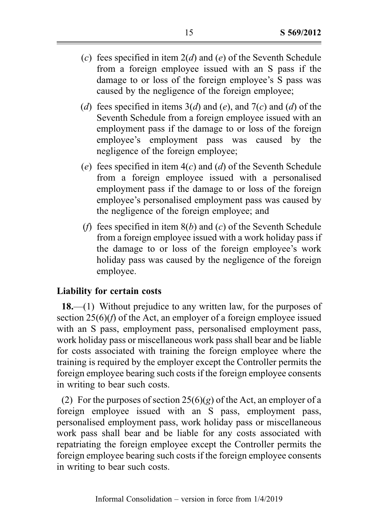- (c) fees specified in item  $2(d)$  and (e) of the Seventh Schedule from a foreign employee issued with an S pass if the damage to or loss of the foreign employee's S pass was caused by the negligence of the foreign employee;
- (d) fees specified in items  $3(d)$  and (e), and  $7(c)$  and (d) of the Seventh Schedule from a foreign employee issued with an employment pass if the damage to or loss of the foreign employee's employment pass was caused by the negligence of the foreign employee;
- (e) fees specified in item  $4(c)$  and (d) of the Seventh Schedule from a foreign employee issued with a personalised employment pass if the damage to or loss of the foreign employee's personalised employment pass was caused by the negligence of the foreign employee; and
- (f) fees specified in item  $8(b)$  and (c) of the Seventh Schedule from a foreign employee issued with a work holiday pass if the damage to or loss of the foreign employee's work holiday pass was caused by the negligence of the foreign employee.

# Liability for certain costs

18.—(1) Without prejudice to any written law, for the purposes of section 25(6)(f) of the Act, an employer of a foreign employee issued with an S pass, employment pass, personalised employment pass, work holiday pass or miscellaneous work pass shall bear and be liable for costs associated with training the foreign employee where the training is required by the employer except the Controller permits the foreign employee bearing such costs if the foreign employee consents in writing to bear such costs.

(2) For the purposes of section  $25(6)(g)$  of the Act, an employer of a foreign employee issued with an S pass, employment pass, personalised employment pass, work holiday pass or miscellaneous work pass shall bear and be liable for any costs associated with repatriating the foreign employee except the Controller permits the foreign employee bearing such costs if the foreign employee consents in writing to bear such costs.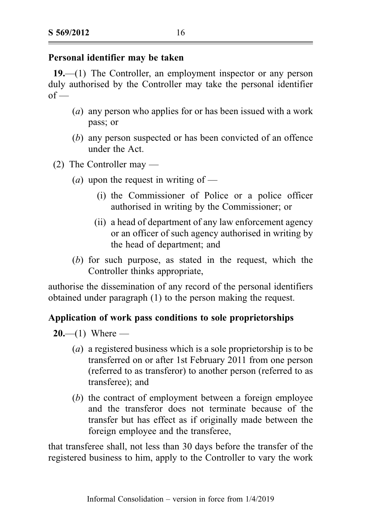# Personal identifier may be taken

19.—(1) The Controller, an employment inspector or any person duly authorised by the Controller may take the personal identifier  $of -$ 

- (a) any person who applies for or has been issued with a work pass; or
- (b) any person suspected or has been convicted of an offence under the Act.
- (2) The Controller may
	- (*a*) upon the request in writing of  $-$ 
		- (i) the Commissioner of Police or a police officer authorised in writing by the Commissioner; or
		- (ii) a head of department of any law enforcement agency or an officer of such agency authorised in writing by the head of department; and
	- (b) for such purpose, as stated in the request, which the Controller thinks appropriate,

authorise the dissemination of any record of the personal identifiers obtained under paragraph (1) to the person making the request.

# Application of work pass conditions to sole proprietorships

- $20 (1)$  Where
	- (a) a registered business which is a sole proprietorship is to be transferred on or after 1st February 2011 from one person (referred to as transferor) to another person (referred to as transferee); and
	- (b) the contract of employment between a foreign employee and the transferor does not terminate because of the transfer but has effect as if originally made between the foreign employee and the transferee,

that transferee shall, not less than 30 days before the transfer of the registered business to him, apply to the Controller to vary the work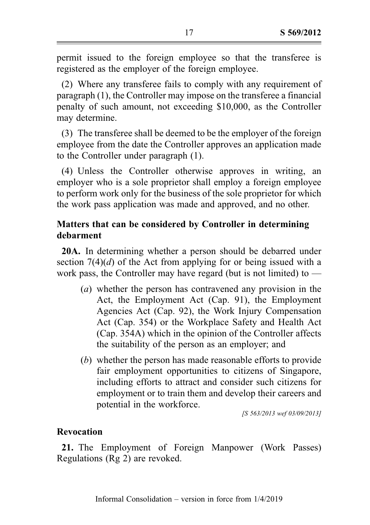permit issued to the foreign employee so that the transferee is registered as the employer of the foreign employee.

(2) Where any transferee fails to comply with any requirement of paragraph (1), the Controller may impose on the transferee a financial penalty of such amount, not exceeding \$10,000, as the Controller may determine.

(3) The transferee shall be deemed to be the employer of the foreign employee from the date the Controller approves an application made to the Controller under paragraph (1).

(4) Unless the Controller otherwise approves in writing, an employer who is a sole proprietor shall employ a foreign employee to perform work only for the business of the sole proprietor for which the work pass application was made and approved, and no other.

# Matters that can be considered by Controller in determining debarment

20A. In determining whether a person should be debarred under section 7(4)(*d*) of the Act from applying for or being issued with a work pass, the Controller may have regard (but is not limited) to  $-$ 

- (a) whether the person has contravened any provision in the Act, the Employment Act (Cap. 91), the Employment Agencies Act (Cap. 92), the Work Injury Compensation Act (Cap. 354) or the Workplace Safety and Health Act (Cap. 354A) which in the opinion of the Controller affects the suitability of the person as an employer; and
- (b) whether the person has made reasonable efforts to provide fair employment opportunities to citizens of Singapore, including efforts to attract and consider such citizens for employment or to train them and develop their careers and potential in the workforce.

[S 563/2013 wef 03/09/2013]

# Revocation

21. The Employment of Foreign Manpower (Work Passes) Regulations (Rg 2) are revoked.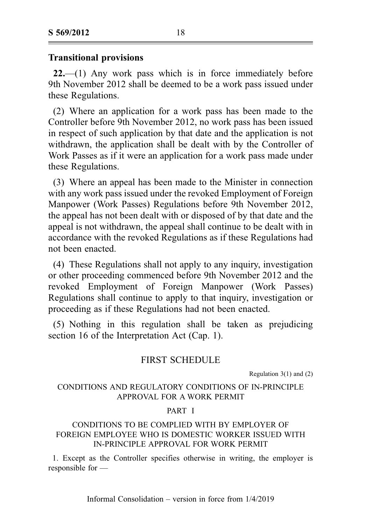### Transitional provisions

22.—(1) Any work pass which is in force immediately before 9th November 2012 shall be deemed to be a work pass issued under these Regulations.

(2) Where an application for a work pass has been made to the Controller before 9th November 2012, no work pass has been issued in respect of such application by that date and the application is not withdrawn, the application shall be dealt with by the Controller of Work Passes as if it were an application for a work pass made under these Regulations.

(3) Where an appeal has been made to the Minister in connection with any work pass issued under the revoked Employment of Foreign Manpower (Work Passes) Regulations before 9th November 2012, the appeal has not been dealt with or disposed of by that date and the appeal is not withdrawn, the appeal shall continue to be dealt with in accordance with the revoked Regulations as if these Regulations had not been enacted.

(4) These Regulations shall not apply to any inquiry, investigation or other proceeding commenced before 9th November 2012 and the revoked Employment of Foreign Manpower (Work Passes) Regulations shall continue to apply to that inquiry, investigation or proceeding as if these Regulations had not been enacted.

(5) Nothing in this regulation shall be taken as prejudicing section 16 of the Interpretation Act (Cap. 1).

### FIRST SCHEDULE

Regulation 3(1) and (2)

### CONDITIONS AND REGULATORY CONDITIONS OF IN-PRINCIPLE APPROVAL FOR A WORK PERMIT

#### PART I

## CONDITIONS TO BE COMPLIED WITH BY EMPLOYER OF FOREIGN EMPLOYEE WHO IS DOMESTIC WORKER ISSUED WITH IN-PRINCIPLE APPROVAL FOR WORK PERMIT

1. Except as the Controller specifies otherwise in writing, the employer is responsible for —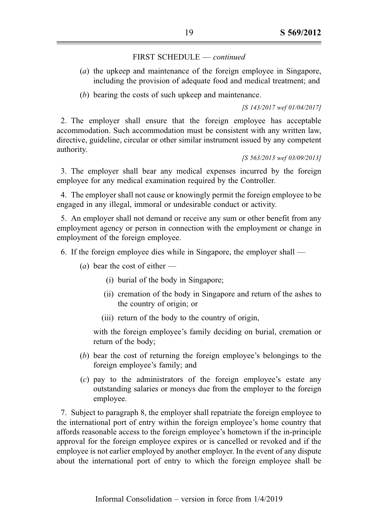- (a) the upkeep and maintenance of the foreign employee in Singapore, including the provision of adequate food and medical treatment; and
- (b) bearing the costs of such upkeep and maintenance.

[S 143/2017 wef 01/04/2017]

2. The employer shall ensure that the foreign employee has acceptable accommodation. Such accommodation must be consistent with any written law, directive, guideline, circular or other similar instrument issued by any competent authority.

```
[S 563/2013 wef 03/09/2013]
```
3. The employer shall bear any medical expenses incurred by the foreign employee for any medical examination required by the Controller.

4. The employer shall not cause or knowingly permit the foreign employee to be engaged in any illegal, immoral or undesirable conduct or activity.

5. An employer shall not demand or receive any sum or other benefit from any employment agency or person in connection with the employment or change in employment of the foreign employee.

6. If the foreign employee dies while in Singapore, the employer shall —

- (*a*) bear the cost of either
	- (i) burial of the body in Singapore;
	- (ii) cremation of the body in Singapore and return of the ashes to the country of origin; or
	- (iii) return of the body to the country of origin,

with the foreign employee's family deciding on burial, cremation or return of the body;

- (b) bear the cost of returning the foreign employee's belongings to the foreign employee's family; and
- (c) pay to the administrators of the foreign employee's estate any outstanding salaries or moneys due from the employer to the foreign employee.

7. Subject to paragraph 8, the employer shall repatriate the foreign employee to the international port of entry within the foreign employee's home country that affords reasonable access to the foreign employee's hometown if the in-principle approval for the foreign employee expires or is cancelled or revoked and if the employee is not earlier employed by another employer. In the event of any dispute about the international port of entry to which the foreign employee shall be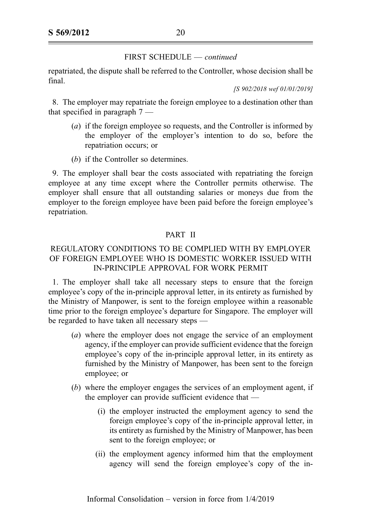repatriated, the dispute shall be referred to the Controller, whose decision shall be final.

[S 902/2018 wef 01/01/2019]

8. The employer may repatriate the foreign employee to a destination other than that specified in paragraph 7 —

- (a) if the foreign employee so requests, and the Controller is informed by the employer of the employer's intention to do so, before the repatriation occurs; or
- (b) if the Controller so determines.

9. The employer shall bear the costs associated with repatriating the foreign employee at any time except where the Controller permits otherwise. The employer shall ensure that all outstanding salaries or moneys due from the employer to the foreign employee have been paid before the foreign employee's repatriation.

## PART II

### REGULATORY CONDITIONS TO BE COMPLIED WITH BY EMPLOYER OF FOREIGN EMPLOYEE WHO IS DOMESTIC WORKER ISSUED WITH IN-PRINCIPLE APPROVAL FOR WORK PERMIT

1. The employer shall take all necessary steps to ensure that the foreign employee's copy of the in-principle approval letter, in its entirety as furnished by the Ministry of Manpower, is sent to the foreign employee within a reasonable time prior to the foreign employee's departure for Singapore. The employer will be regarded to have taken all necessary steps -

- (a) where the employer does not engage the service of an employment agency, if the employer can provide sufficient evidence that the foreign employee's copy of the in-principle approval letter, in its entirety as furnished by the Ministry of Manpower, has been sent to the foreign employee; or
- (b) where the employer engages the services of an employment agent, if the employer can provide sufficient evidence that —
	- (i) the employer instructed the employment agency to send the foreign employee's copy of the in-principle approval letter, in its entirety as furnished by the Ministry of Manpower, has been sent to the foreign employee; or
	- (ii) the employment agency informed him that the employment agency will send the foreign employee's copy of the in-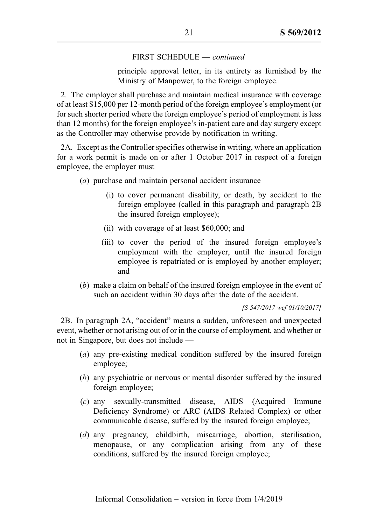principle approval letter, in its entirety as furnished by the Ministry of Manpower, to the foreign employee.

2. The employer shall purchase and maintain medical insurance with coverage of at least \$15,000 per 12-month period of the foreign employee's employment (or for such shorter period where the foreign employee's period of employment is less than 12 months) for the foreign employee's in-patient care and day surgery except as the Controller may otherwise provide by notification in writing.

2A. Except as the Controller specifies otherwise in writing, where an application for a work permit is made on or after 1 October 2017 in respect of a foreign employee, the employer must —

- (a) purchase and maintain personal accident insurance  $-$ 
	- (i) to cover permanent disability, or death, by accident to the foreign employee (called in this paragraph and paragraph 2B the insured foreign employee);
	- (ii) with coverage of at least \$60,000; and
	- (iii) to cover the period of the insured foreign employee's employment with the employer, until the insured foreign employee is repatriated or is employed by another employer; and
- (b) make a claim on behalf of the insured foreign employee in the event of such an accident within 30 days after the date of the accident.

[S 547/2017 wef 01/10/2017]

2B. In paragraph 2A, "accident" means a sudden, unforeseen and unexpected event, whether or not arising out of or in the course of employment, and whether or not in Singapore, but does not include —

- (a) any pre-existing medical condition suffered by the insured foreign employee;
- (b) any psychiatric or nervous or mental disorder suffered by the insured foreign employee;
- (c) any sexually-transmitted disease, AIDS (Acquired Immune Deficiency Syndrome) or ARC (AIDS Related Complex) or other communicable disease, suffered by the insured foreign employee;
- (d) any pregnancy, childbirth, miscarriage, abortion, sterilisation, menopause, or any complication arising from any of these conditions, suffered by the insured foreign employee;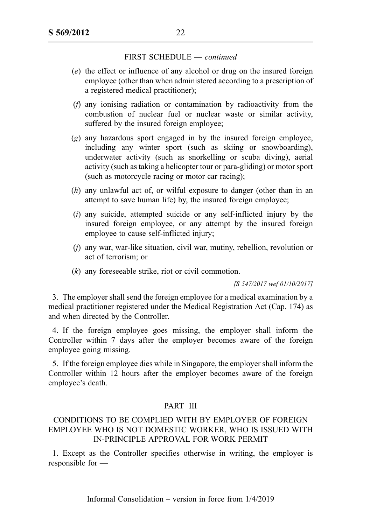- (e) the effect or influence of any alcohol or drug on the insured foreign employee (other than when administered according to a prescription of a registered medical practitioner);
- (f) any ionising radiation or contamination by radioactivity from the combustion of nuclear fuel or nuclear waste or similar activity, suffered by the insured foreign employee;
- (g) any hazardous sport engaged in by the insured foreign employee, including any winter sport (such as skiing or snowboarding), underwater activity (such as snorkelling or scuba diving), aerial activity (such as taking a helicopter tour or para-gliding) or motor sport (such as motorcycle racing or motor car racing);
- (h) any unlawful act of, or wilful exposure to danger (other than in an attempt to save human life) by, the insured foreign employee;
- $(i)$  any suicide, attempted suicide or any self-inflicted injury by the insured foreign employee, or any attempt by the insured foreign employee to cause self-inflicted injury;
- (j) any war, war-like situation, civil war, mutiny, rebellion, revolution or act of terrorism; or
- (k) any foreseeable strike, riot or civil commotion.

[S 547/2017 wef 01/10/2017]

3. The employer shall send the foreign employee for a medical examination by a medical practitioner registered under the Medical Registration Act (Cap. 174) as and when directed by the Controller.

4. If the foreign employee goes missing, the employer shall inform the Controller within 7 days after the employer becomes aware of the foreign employee going missing.

5. If the foreign employee dies while in Singapore, the employer shall inform the Controller within 12 hours after the employer becomes aware of the foreign employee's death.

## PART III

### CONDITIONS TO BE COMPLIED WITH BY EMPLOYER OF FOREIGN EMPLOYEE WHO IS NOT DOMESTIC WORKER, WHO IS ISSUED WITH IN-PRINCIPLE APPROVAL FOR WORK PERMIT

1. Except as the Controller specifies otherwise in writing, the employer is responsible for —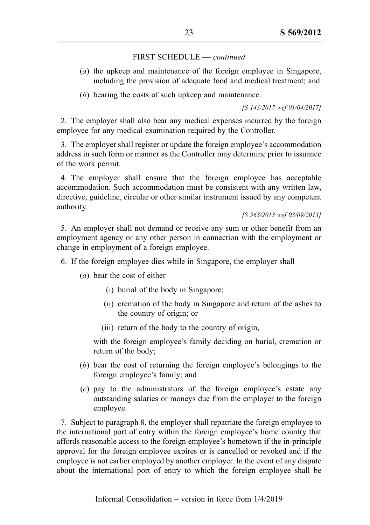- (a) the upkeep and maintenance of the foreign employee in Singapore, including the provision of adequate food and medical treatment; and
- (b) bearing the costs of such upkeep and maintenance.

[S 143/2017 wef 01/04/2017]

2. The employer shall also bear any medical expenses incurred by the foreign employee for any medical examination required by the Controller.

3. The employer shall register or update the foreign employee's accommodation address in such form or manner as the Controller may determine prior to issuance of the work permit.

4. The employer shall ensure that the foreign employee has acceptable accommodation. Such accommodation must be consistent with any written law, directive, guideline, circular or other similar instrument issued by any competent authority.

#### [S 563/2013 wef 03/09/2013]

5. An employer shall not demand or receive any sum or other benefit from an employment agency or any other person in connection with the employment or change in employment of a foreign employee.

- 6. If the foreign employee dies while in Singapore, the employer shall
	- (*a*) bear the cost of either
		- (i) burial of the body in Singapore;
		- (ii) cremation of the body in Singapore and return of the ashes to the country of origin; or
		- (iii) return of the body to the country of origin,

with the foreign employee's family deciding on burial, cremation or return of the body;

- (b) bear the cost of returning the foreign employee's belongings to the foreign employee's family; and
- (c) pay to the administrators of the foreign employee's estate any outstanding salaries or moneys due from the employer to the foreign employee.

7. Subject to paragraph 8, the employer shall repatriate the foreign employee to the international port of entry within the foreign employee's home country that affords reasonable access to the foreign employee's hometown if the in-principle approval for the foreign employee expires or is cancelled or revoked and if the employee is not earlier employed by another employer. In the event of any dispute about the international port of entry to which the foreign employee shall be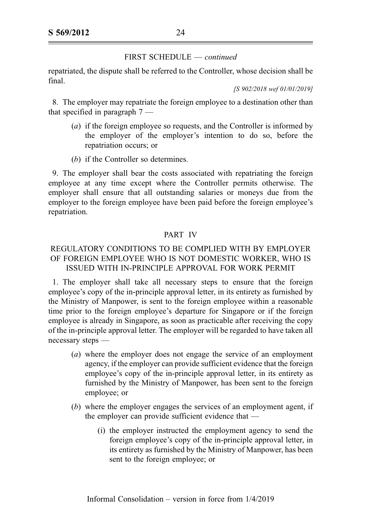repatriated, the dispute shall be referred to the Controller, whose decision shall be final.

[S 902/2018 wef 01/01/2019]

8. The employer may repatriate the foreign employee to a destination other than that specified in paragraph 7 —

- (a) if the foreign employee so requests, and the Controller is informed by the employer of the employer's intention to do so, before the repatriation occurs; or
- (b) if the Controller so determines.

9. The employer shall bear the costs associated with repatriating the foreign employee at any time except where the Controller permits otherwise. The employer shall ensure that all outstanding salaries or moneys due from the employer to the foreign employee have been paid before the foreign employee's repatriation.

## PART IV

### REGULATORY CONDITIONS TO BE COMPLIED WITH BY EMPLOYER OF FOREIGN EMPLOYEE WHO IS NOT DOMESTIC WORKER, WHO IS ISSUED WITH IN-PRINCIPLE APPROVAL FOR WORK PERMIT

1. The employer shall take all necessary steps to ensure that the foreign employee's copy of the in-principle approval letter, in its entirety as furnished by the Ministry of Manpower, is sent to the foreign employee within a reasonable time prior to the foreign employee's departure for Singapore or if the foreign employee is already in Singapore, as soon as practicable after receiving the copy of the in-principle approval letter. The employer will be regarded to have taken all necessary steps —

- (a) where the employer does not engage the service of an employment agency, if the employer can provide sufficient evidence that the foreign employee's copy of the in-principle approval letter, in its entirety as furnished by the Ministry of Manpower, has been sent to the foreign employee; or
- (b) where the employer engages the services of an employment agent, if the employer can provide sufficient evidence that —
	- (i) the employer instructed the employment agency to send the foreign employee's copy of the in-principle approval letter, in its entirety as furnished by the Ministry of Manpower, has been sent to the foreign employee; or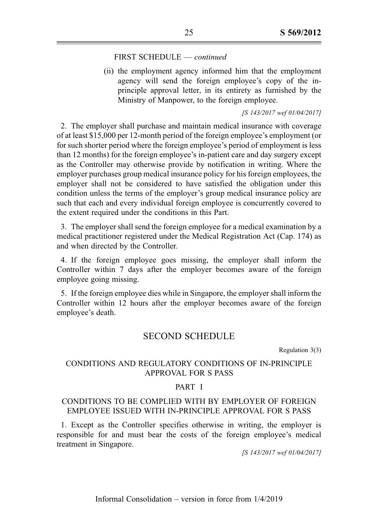(ii) the employment agency informed him that the employment agency will send the foreign employee's copy of the inprinciple approval letter, in its entirety as furnished by the Ministry of Manpower, to the foreign employee.

[S 143/2017 wef 01/04/2017]

2. The employer shall purchase and maintain medical insurance with coverage of at least \$15,000 per 12-month period of the foreign employee's employment (or for such shorter period where the foreign employee's period of employment is less than 12 months) for the foreign employee's in-patient care and day surgery except as the Controller may otherwise provide by notification in writing. Where the employer purchases group medical insurance policy for his foreign employees, the employer shall not be considered to have satisfied the obligation under this condition unless the terms of the employer's group medical insurance policy are such that each and every individual foreign employee is concurrently covered to the extent required under the conditions in this Part.

3. The employer shall send the foreign employee for a medical examination by a medical practitioner registered under the Medical Registration Act (Cap. 174) as and when directed by the Controller.

4. If the foreign employee goes missing, the employer shall inform the Controller within 7 days after the employer becomes aware of the foreign employee going missing.

5. If the foreign employee dies while in Singapore, the employer shall inform the Controller within 12 hours after the employer becomes aware of the foreign employee's death.

# SECOND SCHEDULE

Regulation 3(3)

### CONDITIONS AND REGULATORY CONDITIONS OF IN-PRINCIPLE APPROVAL FOR S PASS

#### PART I

### CONDITIONS TO BE COMPLIED WITH BY EMPLOYER OF FOREIGN EMPLOYEE ISSUED WITH IN-PRINCIPLE APPROVAL FOR S PASS

1. Except as the Controller specifies otherwise in writing, the employer is responsible for and must bear the costs of the foreign employee's medical treatment in Singapore.

[S 143/2017 wef 01/04/2017]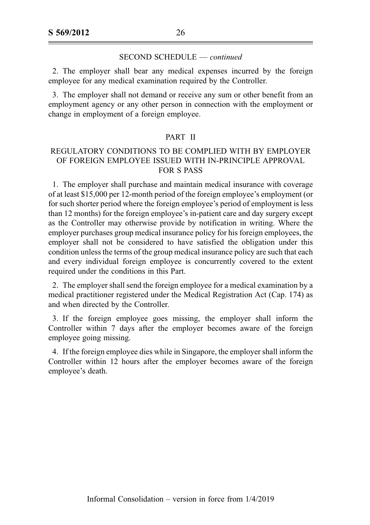#### SECOND SCHEDULE — continued

2. The employer shall bear any medical expenses incurred by the foreign employee for any medical examination required by the Controller.

3. The employer shall not demand or receive any sum or other benefit from an employment agency or any other person in connection with the employment or change in employment of a foreign employee.

#### PART II

### REGULATORY CONDITIONS TO BE COMPLIED WITH BY EMPLOYER OF FOREIGN EMPLOYEE ISSUED WITH IN-PRINCIPLE APPROVAL FOR S PASS

1. The employer shall purchase and maintain medical insurance with coverage of at least \$15,000 per 12-month period of the foreign employee's employment (or for such shorter period where the foreign employee's period of employment is less than 12 months) for the foreign employee's in-patient care and day surgery except as the Controller may otherwise provide by notification in writing. Where the employer purchases group medical insurance policy for his foreign employees, the employer shall not be considered to have satisfied the obligation under this condition unless the terms of the group medical insurance policy are such that each and every individual foreign employee is concurrently covered to the extent required under the conditions in this Part.

2. The employer shall send the foreign employee for a medical examination by a medical practitioner registered under the Medical Registration Act (Cap. 174) as and when directed by the Controller.

3. If the foreign employee goes missing, the employer shall inform the Controller within 7 days after the employer becomes aware of the foreign employee going missing.

4. If the foreign employee dies while in Singapore, the employer shall inform the Controller within 12 hours after the employer becomes aware of the foreign employee's death.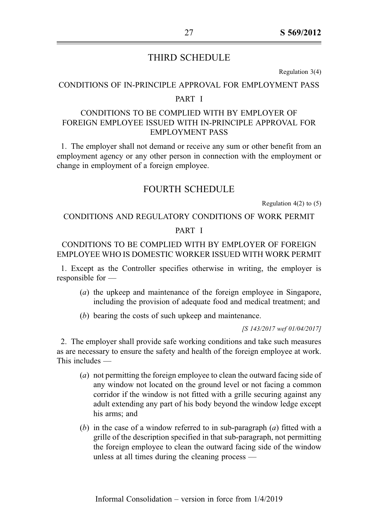# THIRD SCHEDULE

Regulation 3(4)

#### CONDITIONS OF IN-PRINCIPLE APPROVAL FOR EMPLOYMENT PASS

### PART I

# CONDITIONS TO BE COMPLIED WITH BY EMPLOYER OF FOREIGN EMPLOYEE ISSUED WITH IN-PRINCIPLE APPROVAL FOR EMPLOYMENT PASS

1. The employer shall not demand or receive any sum or other benefit from an employment agency or any other person in connection with the employment or change in employment of a foreign employee.

# FOURTH SCHEDULE

Regulation 4(2) to (5)

#### CONDITIONS AND REGULATORY CONDITIONS OF WORK PERMIT

### PART I

# CONDITIONS TO BE COMPLIED WITH BY EMPLOYER OF FOREIGN EMPLOYEE WHO IS DOMESTIC WORKER ISSUED WITH WORK PERMIT

1. Except as the Controller specifies otherwise in writing, the employer is responsible for —

- (a) the upkeep and maintenance of the foreign employee in Singapore, including the provision of adequate food and medical treatment; and
- (b) bearing the costs of such upkeep and maintenance.

[S 143/2017 wef 01/04/2017]

2. The employer shall provide safe working conditions and take such measures as are necessary to ensure the safety and health of the foreign employee at work. This includes —

- (a) not permitting the foreign employee to clean the outward facing side of any window not located on the ground level or not facing a common corridor if the window is not fitted with a grille securing against any adult extending any part of his body beyond the window ledge except his arms; and
- (b) in the case of a window referred to in sub-paragraph  $(a)$  fitted with a grille of the description specified in that sub-paragraph, not permitting the foreign employee to clean the outward facing side of the window unless at all times during the cleaning process —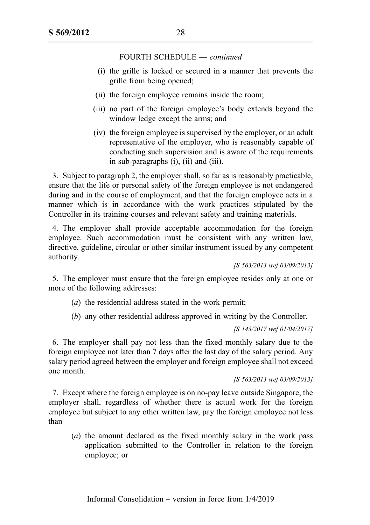- (i) the grille is locked or secured in a manner that prevents the grille from being opened;
- (ii) the foreign employee remains inside the room;
- (iii) no part of the foreign employee's body extends beyond the window ledge except the arms; and
- (iv) the foreign employee is supervised by the employer, or an adult representative of the employer, who is reasonably capable of conducting such supervision and is aware of the requirements in sub-paragraphs (i), (ii) and (iii).

3. Subject to paragraph 2, the employer shall, so far as is reasonably practicable, ensure that the life or personal safety of the foreign employee is not endangered during and in the course of employment, and that the foreign employee acts in a manner which is in accordance with the work practices stipulated by the Controller in its training courses and relevant safety and training materials.

4. The employer shall provide acceptable accommodation for the foreign employee. Such accommodation must be consistent with any written law, directive, guideline, circular or other similar instrument issued by any competent authority.

[S 563/2013 wef 03/09/2013]

5. The employer must ensure that the foreign employee resides only at one or more of the following addresses:

- (a) the residential address stated in the work permit;
- (b) any other residential address approved in writing by the Controller.

[S 143/2017 wef 01/04/2017]

6. The employer shall pay not less than the fixed monthly salary due to the foreign employee not later than 7 days after the last day of the salary period. Any salary period agreed between the employer and foreign employee shall not exceed one month.

[S 563/2013 wef 03/09/2013]

7. Except where the foreign employee is on no-pay leave outside Singapore, the employer shall, regardless of whether there is actual work for the foreign employee but subject to any other written law, pay the foreign employee not less than —

(a) the amount declared as the fixed monthly salary in the work pass application submitted to the Controller in relation to the foreign employee; or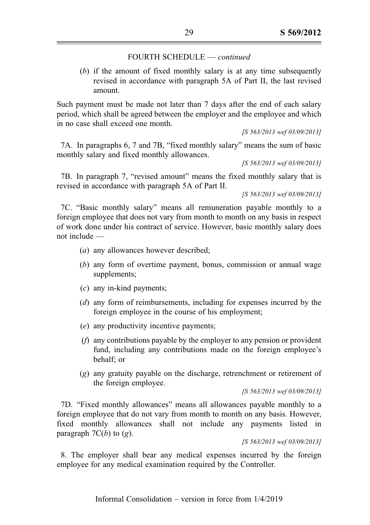(b) if the amount of fixed monthly salary is at any time subsequently revised in accordance with paragraph 5A of Part II, the last revised amount.

Such payment must be made not later than 7 days after the end of each salary period, which shall be agreed between the employer and the employee and which in no case shall exceed one month.

[S 563/2013 wef 03/09/2013]

7A. In paragraphs 6, 7 and 7B, "fixed monthly salary" means the sum of basic monthly salary and fixed monthly allowances.

[S 563/2013 wef 03/09/2013]

7B. In paragraph 7, "revised amount" means the fixed monthly salary that is revised in accordance with paragraph 5A of Part II.

[S 563/2013 wef 03/09/2013]

7C. "Basic monthly salary" means all remuneration payable monthly to a foreign employee that does not vary from month to month on any basis in respect of work done under his contract of service. However, basic monthly salary does not include —

- (a) any allowances however described;
- (b) any form of overtime payment, bonus, commission or annual wage supplements;
- (c) any in-kind payments;
- (d) any form of reimbursements, including for expenses incurred by the foreign employee in the course of his employment;
- (e) any productivity incentive payments;
- (f) any contributions payable by the employer to any pension or provident fund, including any contributions made on the foreign employee's behalf; or
- (g) any gratuity payable on the discharge, retrenchment or retirement of the foreign employee.

[S 563/2013 wef 03/09/2013]

7D. "Fixed monthly allowances" means all allowances payable monthly to a foreign employee that do not vary from month to month on any basis. However, fixed monthly allowances shall not include any payments listed in paragraph  $7C(b)$  to  $(g)$ .

[S 563/2013 wef 03/09/2013]

8. The employer shall bear any medical expenses incurred by the foreign employee for any medical examination required by the Controller.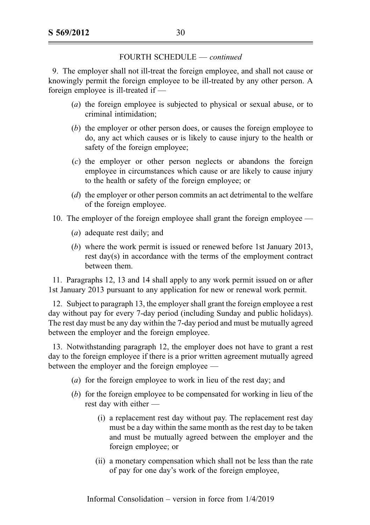9. The employer shall not ill-treat the foreign employee, and shall not cause or knowingly permit the foreign employee to be ill-treated by any other person. A foreign employee is ill-treated if —

- (a) the foreign employee is subjected to physical or sexual abuse, or to criminal intimidation;
- (b) the employer or other person does, or causes the foreign employee to do, any act which causes or is likely to cause injury to the health or safety of the foreign employee;
- (c) the employer or other person neglects or abandons the foreign employee in circumstances which cause or are likely to cause injury to the health or safety of the foreign employee; or
- (d) the employer or other person commits an act detrimental to the welfare of the foreign employee.
- 10. The employer of the foreign employee shall grant the foreign employee
	- (a) adequate rest daily; and
	- (b) where the work permit is issued or renewed before 1st January 2013, rest day(s) in accordance with the terms of the employment contract between them.

11. Paragraphs 12, 13 and 14 shall apply to any work permit issued on or after 1st January 2013 pursuant to any application for new or renewal work permit.

12. Subject to paragraph 13, the employer shall grant the foreign employee a rest day without pay for every 7-day period (including Sunday and public holidays). The rest day must be any day within the 7-day period and must be mutually agreed between the employer and the foreign employee.

13. Notwithstanding paragraph 12, the employer does not have to grant a rest day to the foreign employee if there is a prior written agreement mutually agreed between the employer and the foreign employee —

- (a) for the foreign employee to work in lieu of the rest day; and
- (b) for the foreign employee to be compensated for working in lieu of the rest day with either —
	- (i) a replacement rest day without pay. The replacement rest day must be a day within the same month as the rest day to be taken and must be mutually agreed between the employer and the foreign employee; or
	- (ii) a monetary compensation which shall not be less than the rate of pay for one day's work of the foreign employee,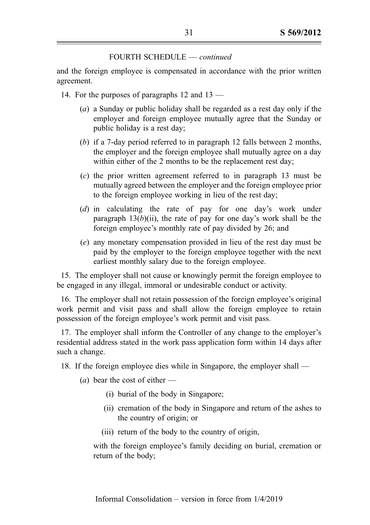and the foreign employee is compensated in accordance with the prior written agreement.

- 14. For the purposes of paragraphs 12 and 13
	- (a) a Sunday or public holiday shall be regarded as a rest day only if the employer and foreign employee mutually agree that the Sunday or public holiday is a rest day;
	- (b) if a 7-day period referred to in paragraph 12 falls between 2 months, the employer and the foreign employee shall mutually agree on a day within either of the 2 months to be the replacement rest day;
	- (c) the prior written agreement referred to in paragraph 13 must be mutually agreed between the employer and the foreign employee prior to the foreign employee working in lieu of the rest day;
	- (d) in calculating the rate of pay for one day's work under paragraph  $13(b)(ii)$ , the rate of pay for one day's work shall be the foreign employee's monthly rate of pay divided by 26; and
	- (e) any monetary compensation provided in lieu of the rest day must be paid by the employer to the foreign employee together with the next earliest monthly salary due to the foreign employee.

15. The employer shall not cause or knowingly permit the foreign employee to be engaged in any illegal, immoral or undesirable conduct or activity.

16. The employer shall not retain possession of the foreign employee's original work permit and visit pass and shall allow the foreign employee to retain possession of the foreign employee's work permit and visit pass.

17. The employer shall inform the Controller of any change to the employer's residential address stated in the work pass application form within 14 days after such a change.

18. If the foreign employee dies while in Singapore, the employer shall —

(*a*) bear the cost of either —

- (i) burial of the body in Singapore;
- (ii) cremation of the body in Singapore and return of the ashes to the country of origin; or
- (iii) return of the body to the country of origin,

with the foreign employee's family deciding on burial, cremation or return of the body;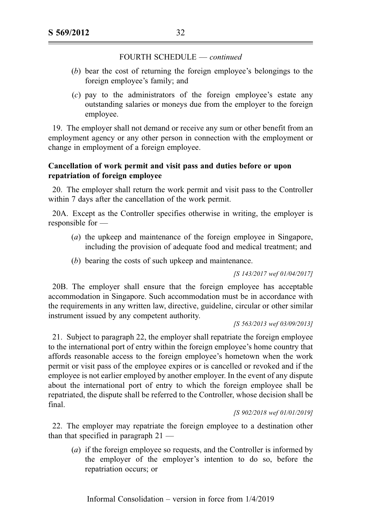- (b) bear the cost of returning the foreign employee's belongings to the foreign employee's family; and
- (c) pay to the administrators of the foreign employee's estate any outstanding salaries or moneys due from the employer to the foreign employee.

19. The employer shall not demand or receive any sum or other benefit from an employment agency or any other person in connection with the employment or change in employment of a foreign employee.

## Cancellation of work permit and visit pass and duties before or upon repatriation of foreign employee

20. The employer shall return the work permit and visit pass to the Controller within 7 days after the cancellation of the work permit.

20A. Except as the Controller specifies otherwise in writing, the employer is responsible for —

- (a) the upkeep and maintenance of the foreign employee in Singapore, including the provision of adequate food and medical treatment; and
- (b) bearing the costs of such upkeep and maintenance.

[S 143/2017 wef 01/04/2017]

20B. The employer shall ensure that the foreign employee has acceptable accommodation in Singapore. Such accommodation must be in accordance with the requirements in any written law, directive, guideline, circular or other similar instrument issued by any competent authority.

### [S 563/2013 wef 03/09/2013]

21. Subject to paragraph 22, the employer shall repatriate the foreign employee to the international port of entry within the foreign employee's home country that affords reasonable access to the foreign employee's hometown when the work permit or visit pass of the employee expires or is cancelled or revoked and if the employee is not earlier employed by another employer. In the event of any dispute about the international port of entry to which the foreign employee shall be repatriated, the dispute shall be referred to the Controller, whose decision shall be final.

### [S 902/2018 wef 01/01/2019]

22. The employer may repatriate the foreign employee to a destination other than that specified in paragraph 21 —

(a) if the foreign employee so requests, and the Controller is informed by the employer of the employer's intention to do so, before the repatriation occurs; or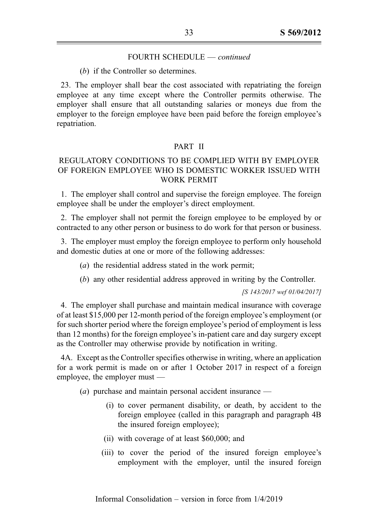(b) if the Controller so determines.

23. The employer shall bear the cost associated with repatriating the foreign employee at any time except where the Controller permits otherwise. The employer shall ensure that all outstanding salaries or moneys due from the employer to the foreign employee have been paid before the foreign employee's repatriation.

## PART II

## REGULATORY CONDITIONS TO BE COMPLIED WITH BY EMPLOYER OF FOREIGN EMPLOYEE WHO IS DOMESTIC WORKER ISSUED WITH WORK PERMIT

1. The employer shall control and supervise the foreign employee. The foreign employee shall be under the employer's direct employment.

2. The employer shall not permit the foreign employee to be employed by or contracted to any other person or business to do work for that person or business.

3. The employer must employ the foreign employee to perform only household and domestic duties at one or more of the following addresses:

(a) the residential address stated in the work permit;

(b) any other residential address approved in writing by the Controller.

#### [S 143/2017 wef 01/04/2017]

4. The employer shall purchase and maintain medical insurance with coverage of at least \$15,000 per 12-month period of the foreign employee's employment (or for such shorter period where the foreign employee's period of employment is less than 12 months) for the foreign employee's in-patient care and day surgery except as the Controller may otherwise provide by notification in writing.

4A. Except as the Controller specifies otherwise in writing, where an application for a work permit is made on or after 1 October 2017 in respect of a foreign employee, the employer must —

(a) purchase and maintain personal accident insurance —

- (i) to cover permanent disability, or death, by accident to the foreign employee (called in this paragraph and paragraph 4B the insured foreign employee);
- (ii) with coverage of at least \$60,000; and
- (iii) to cover the period of the insured foreign employee's employment with the employer, until the insured foreign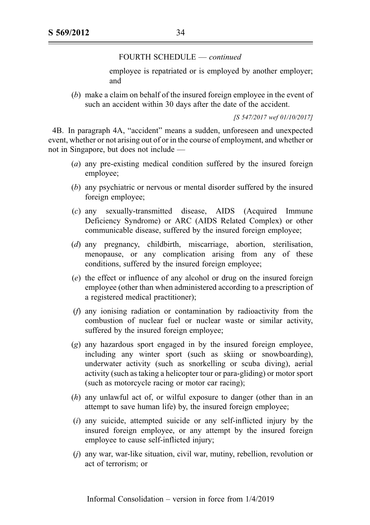employee is repatriated or is employed by another employer; and

(b) make a claim on behalf of the insured foreign employee in the event of such an accident within 30 days after the date of the accident.

[S 547/2017 wef 01/10/2017]

4B. In paragraph 4A, "accident" means a sudden, unforeseen and unexpected event, whether or not arising out of or in the course of employment, and whether or not in Singapore, but does not include —

- (a) any pre-existing medical condition suffered by the insured foreign employee;
- (b) any psychiatric or nervous or mental disorder suffered by the insured foreign employee;
- (c) any sexually-transmitted disease, AIDS (Acquired Immune Deficiency Syndrome) or ARC (AIDS Related Complex) or other communicable disease, suffered by the insured foreign employee;
- (d) any pregnancy, childbirth, miscarriage, abortion, sterilisation, menopause, or any complication arising from any of these conditions, suffered by the insured foreign employee;
- (e) the effect or influence of any alcohol or drug on the insured foreign employee (other than when administered according to a prescription of a registered medical practitioner);
- (f) any ionising radiation or contamination by radioactivity from the combustion of nuclear fuel or nuclear waste or similar activity, suffered by the insured foreign employee;
- (g) any hazardous sport engaged in by the insured foreign employee, including any winter sport (such as skiing or snowboarding), underwater activity (such as snorkelling or scuba diving), aerial activity (such as taking a helicopter tour or para-gliding) or motor sport (such as motorcycle racing or motor car racing);
- (h) any unlawful act of, or wilful exposure to danger (other than in an attempt to save human life) by, the insured foreign employee;
- $(i)$  any suicide, attempted suicide or any self-inflicted injury by the insured foreign employee, or any attempt by the insured foreign employee to cause self-inflicted injury;
- (j) any war, war-like situation, civil war, mutiny, rebellion, revolution or act of terrorism; or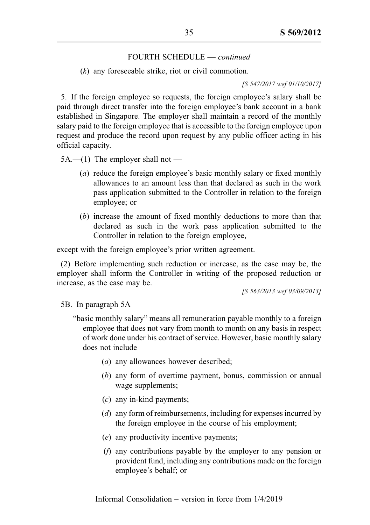(k) any foreseeable strike, riot or civil commotion.

[S 547/2017 wef 01/10/2017]

5. If the foreign employee so requests, the foreign employee's salary shall be paid through direct transfer into the foreign employee's bank account in a bank established in Singapore. The employer shall maintain a record of the monthly salary paid to the foreign employee that is accessible to the foreign employee upon request and produce the record upon request by any public officer acting in his official capacity.

 $5A$ .—(1) The employer shall not —

- (a) reduce the foreign employee's basic monthly salary or fixed monthly allowances to an amount less than that declared as such in the work pass application submitted to the Controller in relation to the foreign employee; or
- (b) increase the amount of fixed monthly deductions to more than that declared as such in the work pass application submitted to the Controller in relation to the foreign employee,

except with the foreign employee's prior written agreement.

(2) Before implementing such reduction or increase, as the case may be, the employer shall inform the Controller in writing of the proposed reduction or increase, as the case may be.

[S 563/2013 wef 03/09/2013]

5B. In paragraph 5A —

- "basic monthly salary" means all remuneration payable monthly to a foreign employee that does not vary from month to month on any basis in respect of work done under his contract of service. However, basic monthly salary does not include —
	- (a) any allowances however described;
	- (b) any form of overtime payment, bonus, commission or annual wage supplements;
	- (c) any in-kind payments;
	- (d) any form of reimbursements, including for expenses incurred by the foreign employee in the course of his employment;
	- (e) any productivity incentive payments;
	- (f) any contributions payable by the employer to any pension or provident fund, including any contributions made on the foreign employee's behalf; or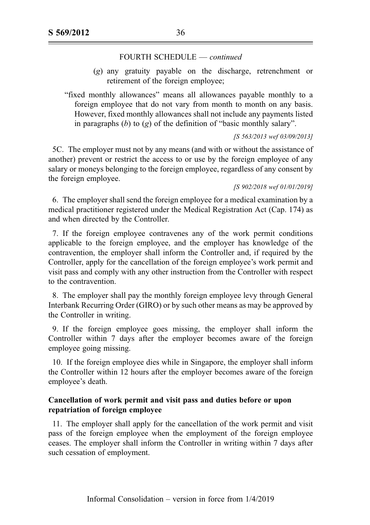(g) any gratuity payable on the discharge, retrenchment or retirement of the foreign employee;

"fixed monthly allowances" means all allowances payable monthly to a foreign employee that do not vary from month to month on any basis. However, fixed monthly allowances shall not include any payments listed in paragraphs  $(b)$  to  $(g)$  of the definition of "basic monthly salary".

[S 563/2013 wef 03/09/2013]

5C. The employer must not by any means (and with or without the assistance of another) prevent or restrict the access to or use by the foreign employee of any salary or moneys belonging to the foreign employee, regardless of any consent by the foreign employee.

[S 902/2018 wef 01/01/2019]

6. The employer shall send the foreign employee for a medical examination by a medical practitioner registered under the Medical Registration Act (Cap. 174) as and when directed by the Controller.

7. If the foreign employee contravenes any of the work permit conditions applicable to the foreign employee, and the employer has knowledge of the contravention, the employer shall inform the Controller and, if required by the Controller, apply for the cancellation of the foreign employee's work permit and visit pass and comply with any other instruction from the Controller with respect to the contravention.

8. The employer shall pay the monthly foreign employee levy through General Interbank Recurring Order (GIRO) or by such other means as may be approved by the Controller in writing.

9. If the foreign employee goes missing, the employer shall inform the Controller within 7 days after the employer becomes aware of the foreign employee going missing.

10. If the foreign employee dies while in Singapore, the employer shall inform the Controller within 12 hours after the employer becomes aware of the foreign employee's death.

### Cancellation of work permit and visit pass and duties before or upon repatriation of foreign employee

11. The employer shall apply for the cancellation of the work permit and visit pass of the foreign employee when the employment of the foreign employee ceases. The employer shall inform the Controller in writing within 7 days after such cessation of employment.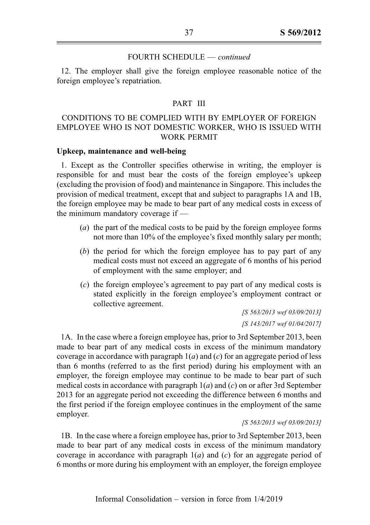12. The employer shall give the foreign employee reasonable notice of the foreign employee's repatriation.

#### PART III

### CONDITIONS TO BE COMPLIED WITH BY EMPLOYER OF FOREIGN EMPLOYEE WHO IS NOT DOMESTIC WORKER, WHO IS ISSUED WITH WORK PERMIT

#### Upkeep, maintenance and well-being

1. Except as the Controller specifies otherwise in writing, the employer is responsible for and must bear the costs of the foreign employee's upkeep (excluding the provision of food) and maintenance in Singapore. This includes the provision of medical treatment, except that and subject to paragraphs 1A and 1B, the foreign employee may be made to bear part of any medical costs in excess of the minimum mandatory coverage if —

- (a) the part of the medical costs to be paid by the foreign employee forms not more than 10% of the employee's fixed monthly salary per month;
- (b) the period for which the foreign employee has to pay part of any medical costs must not exceed an aggregate of 6 months of his period of employment with the same employer; and
- (c) the foreign employee's agreement to pay part of any medical costs is stated explicitly in the foreign employee's employment contract or collective agreement.

[S 563/2013 wef 03/09/2013] [S 143/2017 wef 01/04/2017]

1A. In the case where a foreign employee has, prior to 3rd September 2013, been made to bear part of any medical costs in excess of the minimum mandatory coverage in accordance with paragraph  $1(a)$  and  $(c)$  for an aggregate period of less than 6 months (referred to as the first period) during his employment with an employer, the foreign employee may continue to be made to bear part of such medical costs in accordance with paragraph  $1(a)$  and  $(c)$  on or after 3rd September 2013 for an aggregate period not exceeding the difference between 6 months and the first period if the foreign employee continues in the employment of the same employer.

#### [S 563/2013 wef 03/09/2013]

1B. In the case where a foreign employee has, prior to 3rd September 2013, been made to bear part of any medical costs in excess of the minimum mandatory coverage in accordance with paragraph  $1(a)$  and  $(c)$  for an aggregate period of 6 months or more during his employment with an employer, the foreign employee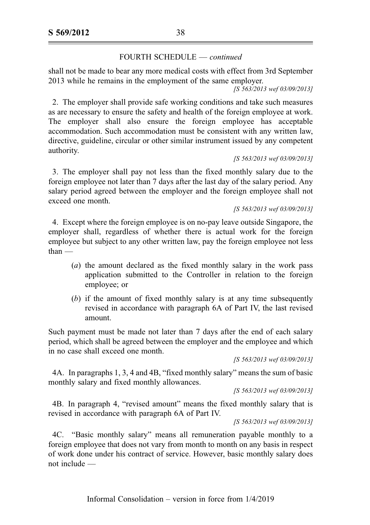shall not be made to bear any more medical costs with effect from 3rd September 2013 while he remains in the employment of the same employer.

[S 563/2013 wef 03/09/2013]

2. The employer shall provide safe working conditions and take such measures as are necessary to ensure the safety and health of the foreign employee at work. The employer shall also ensure the foreign employee has acceptable accommodation. Such accommodation must be consistent with any written law, directive, guideline, circular or other similar instrument issued by any competent authority.

[S 563/2013 wef 03/09/2013]

3. The employer shall pay not less than the fixed monthly salary due to the foreign employee not later than 7 days after the last day of the salary period. Any salary period agreed between the employer and the foreign employee shall not exceed one month.

[S 563/2013 wef 03/09/2013]

4. Except where the foreign employee is on no-pay leave outside Singapore, the employer shall, regardless of whether there is actual work for the foreign employee but subject to any other written law, pay the foreign employee not less than —

- (a) the amount declared as the fixed monthly salary in the work pass application submitted to the Controller in relation to the foreign employee; or
- (b) if the amount of fixed monthly salary is at any time subsequently revised in accordance with paragraph 6A of Part IV, the last revised amount.

Such payment must be made not later than 7 days after the end of each salary period, which shall be agreed between the employer and the employee and which in no case shall exceed one month.

[S 563/2013 wef 03/09/2013]

4A. In paragraphs 1, 3, 4 and 4B, "fixed monthly salary" means the sum of basic monthly salary and fixed monthly allowances.

[S 563/2013 wef 03/09/2013]

4B. In paragraph 4, "revised amount" means the fixed monthly salary that is revised in accordance with paragraph 6A of Part IV.

[S 563/2013 wef 03/09/2013]

4C. "Basic monthly salary" means all remuneration payable monthly to a foreign employee that does not vary from month to month on any basis in respect of work done under his contract of service. However, basic monthly salary does not include —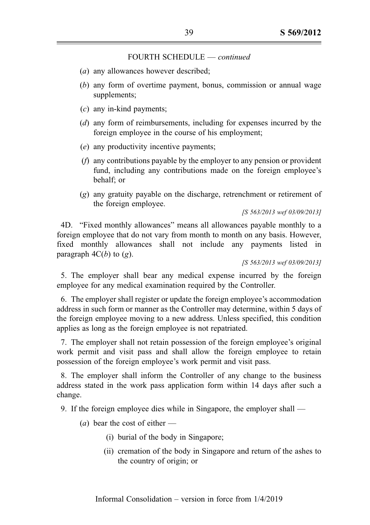- (a) any allowances however described;
- (b) any form of overtime payment, bonus, commission or annual wage supplements;
- (c) any in-kind payments;
- (d) any form of reimbursements, including for expenses incurred by the foreign employee in the course of his employment;
- (e) any productivity incentive payments;
- (f) any contributions payable by the employer to any pension or provident fund, including any contributions made on the foreign employee's behalf; or
- (g) any gratuity payable on the discharge, retrenchment or retirement of the foreign employee.

[S 563/2013 wef 03/09/2013]

4D. "Fixed monthly allowances" means all allowances payable monthly to a foreign employee that do not vary from month to month on any basis. However, fixed monthly allowances shall not include any payments listed in paragraph  $4C(b)$  to  $(g)$ .

[S 563/2013 wef 03/09/2013]

5. The employer shall bear any medical expense incurred by the foreign employee for any medical examination required by the Controller.

6. The employer shall register or update the foreign employee's accommodation address in such form or manner as the Controller may determine, within 5 days of the foreign employee moving to a new address. Unless specified, this condition applies as long as the foreign employee is not repatriated.

7. The employer shall not retain possession of the foreign employee's original work permit and visit pass and shall allow the foreign employee to retain possession of the foreign employee's work permit and visit pass.

8. The employer shall inform the Controller of any change to the business address stated in the work pass application form within 14 days after such a change.

9. If the foreign employee dies while in Singapore, the employer shall —

- (*a*) bear the cost of either
	- (i) burial of the body in Singapore;
	- (ii) cremation of the body in Singapore and return of the ashes to the country of origin; or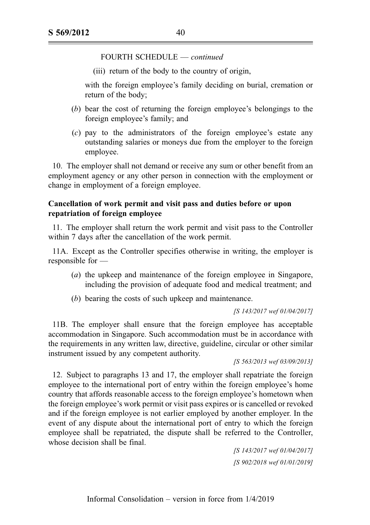(iii) return of the body to the country of origin,

with the foreign employee's family deciding on burial, cremation or return of the body;

- (b) bear the cost of returning the foreign employee's belongings to the foreign employee's family; and
- (c) pay to the administrators of the foreign employee's estate any outstanding salaries or moneys due from the employer to the foreign employee.

10. The employer shall not demand or receive any sum or other benefit from an employment agency or any other person in connection with the employment or change in employment of a foreign employee.

### Cancellation of work permit and visit pass and duties before or upon repatriation of foreign employee

11. The employer shall return the work permit and visit pass to the Controller within 7 days after the cancellation of the work permit.

11A. Except as the Controller specifies otherwise in writing, the employer is responsible for —

- (a) the upkeep and maintenance of the foreign employee in Singapore, including the provision of adequate food and medical treatment; and
- (b) bearing the costs of such upkeep and maintenance.

[S 143/2017 wef 01/04/2017]

11B. The employer shall ensure that the foreign employee has acceptable accommodation in Singapore. Such accommodation must be in accordance with the requirements in any written law, directive, guideline, circular or other similar instrument issued by any competent authority.

[S 563/2013 wef 03/09/2013]

12. Subject to paragraphs 13 and 17, the employer shall repatriate the foreign employee to the international port of entry within the foreign employee's home country that affords reasonable access to the foreign employee's hometown when the foreign employee's work permit or visit pass expires or is cancelled or revoked and if the foreign employee is not earlier employed by another employer. In the event of any dispute about the international port of entry to which the foreign employee shall be repatriated, the dispute shall be referred to the Controller, whose decision shall be final.

> [S 143/2017 wef 01/04/2017] [S 902/2018 wef 01/01/2019]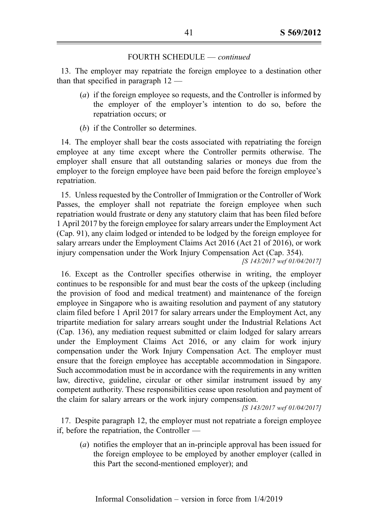13. The employer may repatriate the foreign employee to a destination other than that specified in paragraph 12 —

- (a) if the foreign employee so requests, and the Controller is informed by the employer of the employer's intention to do so, before the repatriation occurs; or
- (b) if the Controller so determines.

14. The employer shall bear the costs associated with repatriating the foreign employee at any time except where the Controller permits otherwise. The employer shall ensure that all outstanding salaries or moneys due from the employer to the foreign employee have been paid before the foreign employee's repatriation.

15. Unless requested by the Controller of Immigration or the Controller of Work Passes, the employer shall not repatriate the foreign employee when such repatriation would frustrate or deny any statutory claim that has been filed before 1 April 2017 by the foreign employee for salary arrears under the Employment Act (Cap. 91), any claim lodged or intended to be lodged by the foreign employee for salary arrears under the Employment Claims Act 2016 (Act 21 of 2016), or work injury compensation under the Work Injury Compensation Act (Cap. 354).

[S 143/2017 wef 01/04/2017]

16. Except as the Controller specifies otherwise in writing, the employer continues to be responsible for and must bear the costs of the upkeep (including the provision of food and medical treatment) and maintenance of the foreign employee in Singapore who is awaiting resolution and payment of any statutory claim filed before 1 April 2017 for salary arrears under the Employment Act, any tripartite mediation for salary arrears sought under the Industrial Relations Act (Cap. 136), any mediation request submitted or claim lodged for salary arrears under the Employment Claims Act 2016, or any claim for work injury compensation under the Work Injury Compensation Act. The employer must ensure that the foreign employee has acceptable accommodation in Singapore. Such accommodation must be in accordance with the requirements in any written law, directive, guideline, circular or other similar instrument issued by any competent authority. These responsibilities cease upon resolution and payment of the claim for salary arrears or the work injury compensation.

[S 143/2017 wef 01/04/2017]

17. Despite paragraph 12, the employer must not repatriate a foreign employee if, before the repatriation, the Controller —

(a) notifies the employer that an in-principle approval has been issued for the foreign employee to be employed by another employer (called in this Part the second-mentioned employer); and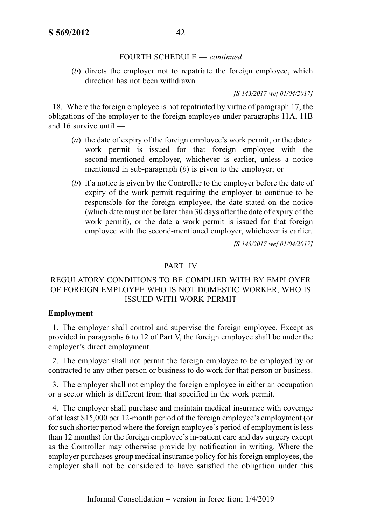(b) directs the employer not to repatriate the foreign employee, which direction has not been withdrawn.

[S 143/2017 wef 01/04/2017]

18. Where the foreign employee is not repatriated by virtue of paragraph 17, the obligations of the employer to the foreign employee under paragraphs 11A, 11B and 16 survive until —

- (a) the date of expiry of the foreign employee's work permit, or the date a work permit is issued for that foreign employee with the second-mentioned employer, whichever is earlier, unless a notice mentioned in sub-paragraph (b) is given to the employer; or
- (b) if a notice is given by the Controller to the employer before the date of expiry of the work permit requiring the employer to continue to be responsible for the foreign employee, the date stated on the notice (which date must not be later than 30 days after the date of expiry of the work permit), or the date a work permit is issued for that foreign employee with the second-mentioned employer, whichever is earlier.

[S 143/2017 wef 01/04/2017]

### PART IV

### REGULATORY CONDITIONS TO BE COMPLIED WITH BY EMPLOYER OF FOREIGN EMPLOYEE WHO IS NOT DOMESTIC WORKER, WHO IS ISSUED WITH WORK PERMIT

#### Employment

1. The employer shall control and supervise the foreign employee. Except as provided in paragraphs 6 to 12 of Part V, the foreign employee shall be under the employer's direct employment.

2. The employer shall not permit the foreign employee to be employed by or contracted to any other person or business to do work for that person or business.

3. The employer shall not employ the foreign employee in either an occupation or a sector which is different from that specified in the work permit.

4. The employer shall purchase and maintain medical insurance with coverage of at least \$15,000 per 12-month period of the foreign employee's employment (or for such shorter period where the foreign employee's period of employment is less than 12 months) for the foreign employee's in-patient care and day surgery except as the Controller may otherwise provide by notification in writing. Where the employer purchases group medical insurance policy for his foreign employees, the employer shall not be considered to have satisfied the obligation under this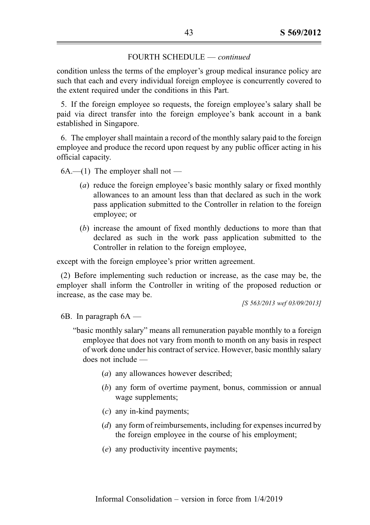condition unless the terms of the employer's group medical insurance policy are such that each and every individual foreign employee is concurrently covered to the extent required under the conditions in this Part.

5. If the foreign employee so requests, the foreign employee's salary shall be paid via direct transfer into the foreign employee's bank account in a bank established in Singapore.

6. The employer shall maintain a record of the monthly salary paid to the foreign employee and produce the record upon request by any public officer acting in his official capacity.

 $6A$ .—(1) The employer shall not —

- (a) reduce the foreign employee's basic monthly salary or fixed monthly allowances to an amount less than that declared as such in the work pass application submitted to the Controller in relation to the foreign employee; or
- (b) increase the amount of fixed monthly deductions to more than that declared as such in the work pass application submitted to the Controller in relation to the foreign employee,

except with the foreign employee's prior written agreement.

(2) Before implementing such reduction or increase, as the case may be, the employer shall inform the Controller in writing of the proposed reduction or increase, as the case may be.

[S 563/2013 wef 03/09/2013]

- 6B. In paragraph  $6A$ 
	- "basic monthly salary" means all remuneration payable monthly to a foreign employee that does not vary from month to month on any basis in respect of work done under his contract of service. However, basic monthly salary does not include —
		- (a) any allowances however described;
		- (b) any form of overtime payment, bonus, commission or annual wage supplements;
		- (c) any in-kind payments;
		- (d) any form of reimbursements, including for expenses incurred by the foreign employee in the course of his employment;
		- (e) any productivity incentive payments;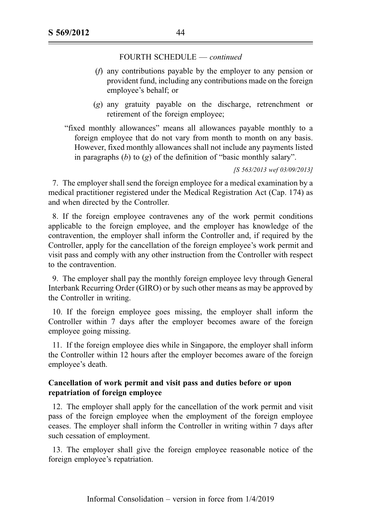- (f) any contributions payable by the employer to any pension or provident fund, including any contributions made on the foreign employee's behalf; or
- (g) any gratuity payable on the discharge, retrenchment or retirement of the foreign employee;

"fixed monthly allowances" means all allowances payable monthly to a foreign employee that do not vary from month to month on any basis. However, fixed monthly allowances shall not include any payments listed in paragraphs  $(b)$  to  $(g)$  of the definition of "basic monthly salary".

[S 563/2013 wef 03/09/2013]

7. The employer shall send the foreign employee for a medical examination by a medical practitioner registered under the Medical Registration Act (Cap. 174) as and when directed by the Controller.

8. If the foreign employee contravenes any of the work permit conditions applicable to the foreign employee, and the employer has knowledge of the contravention, the employer shall inform the Controller and, if required by the Controller, apply for the cancellation of the foreign employee's work permit and visit pass and comply with any other instruction from the Controller with respect to the contravention.

9. The employer shall pay the monthly foreign employee levy through General Interbank Recurring Order (GIRO) or by such other means as may be approved by the Controller in writing.

10. If the foreign employee goes missing, the employer shall inform the Controller within 7 days after the employer becomes aware of the foreign employee going missing.

11. If the foreign employee dies while in Singapore, the employer shall inform the Controller within 12 hours after the employer becomes aware of the foreign employee's death.

#### Cancellation of work permit and visit pass and duties before or upon repatriation of foreign employee

12. The employer shall apply for the cancellation of the work permit and visit pass of the foreign employee when the employment of the foreign employee ceases. The employer shall inform the Controller in writing within 7 days after such cessation of employment.

13. The employer shall give the foreign employee reasonable notice of the foreign employee's repatriation.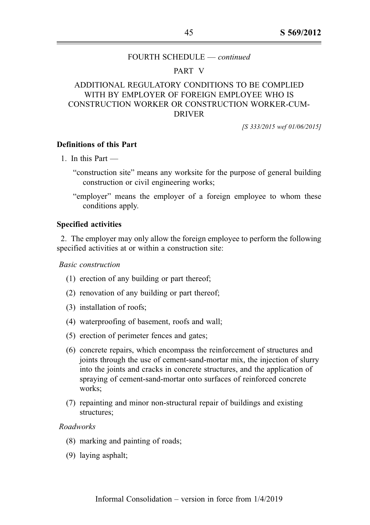#### PART V

## ADDITIONAL REGULATORY CONDITIONS TO BE COMPLIED WITH BY EMPLOYER OF FOREIGN EMPLOYEE WHO IS CONSTRUCTION WORKER OR CONSTRUCTION WORKER-CUM-DRIVER

[S 333/2015 wef 01/06/2015]

#### Definitions of this Part

1. In this Part —

- "construction site" means any worksite for the purpose of general building construction or civil engineering works;
- "employer" means the employer of a foreign employee to whom these conditions apply.

#### Specified activities

2. The employer may only allow the foreign employee to perform the following specified activities at or within a construction site:

Basic construction

- (1) erection of any building or part thereof;
- (2) renovation of any building or part thereof;
- (3) installation of roofs;
- (4) waterproofing of basement, roofs and wall;
- (5) erection of perimeter fences and gates;
- (6) concrete repairs, which encompass the reinforcement of structures and joints through the use of cement-sand-mortar mix, the injection of slurry into the joints and cracks in concrete structures, and the application of spraying of cement-sand-mortar onto surfaces of reinforced concrete works;
- (7) repainting and minor non-structural repair of buildings and existing structures;

#### Roadworks

- (8) marking and painting of roads;
- (9) laying asphalt;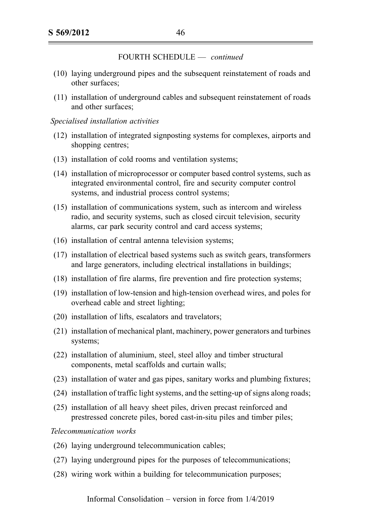- (10) laying underground pipes and the subsequent reinstatement of roads and other surfaces;
- (11) installation of underground cables and subsequent reinstatement of roads and other surfaces;

#### Specialised installation activities

- (12) installation of integrated signposting systems for complexes, airports and shopping centres;
- (13) installation of cold rooms and ventilation systems;
- (14) installation of microprocessor or computer based control systems, such as integrated environmental control, fire and security computer control systems, and industrial process control systems;
- (15) installation of communications system, such as intercom and wireless radio, and security systems, such as closed circuit television, security alarms, car park security control and card access systems;
- (16) installation of central antenna television systems;
- (17) installation of electrical based systems such as switch gears, transformers and large generators, including electrical installations in buildings;
- (18) installation of fire alarms, fire prevention and fire protection systems;
- (19) installation of low-tension and high-tension overhead wires, and poles for overhead cable and street lighting;
- (20) installation of lifts, escalators and travelators;
- (21) installation of mechanical plant, machinery, power generators and turbines systems;
- (22) installation of aluminium, steel, steel alloy and timber structural components, metal scaffolds and curtain walls;
- (23) installation of water and gas pipes, sanitary works and plumbing fixtures;
- (24) installation of traffic light systems, and the setting-up of signs along roads;
- (25) installation of all heavy sheet piles, driven precast reinforced and prestressed concrete piles, bored cast-in-situ piles and timber piles;

Telecommunication works

- (26) laying underground telecommunication cables;
- (27) laying underground pipes for the purposes of telecommunications;
- (28) wiring work within a building for telecommunication purposes;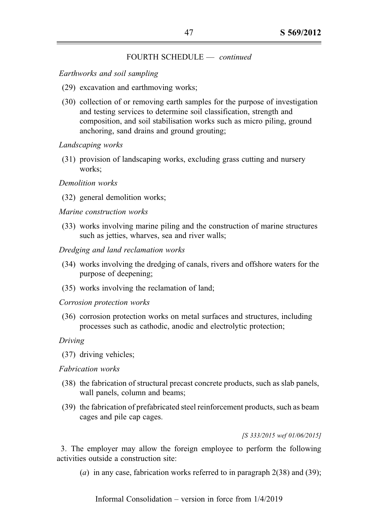#### Earthworks and soil sampling

- (29) excavation and earthmoving works;
- (30) collection of or removing earth samples for the purpose of investigation and testing services to determine soil classification, strength and composition, and soil stabilisation works such as micro piling, ground anchoring, sand drains and ground grouting;

### Landscaping works

(31) provision of landscaping works, excluding grass cutting and nursery works:

#### Demolition works

(32) general demolition works;

#### Marine construction works

(33) works involving marine piling and the construction of marine structures such as jetties, wharves, sea and river walls;

#### Dredging and land reclamation works

- (34) works involving the dredging of canals, rivers and offshore waters for the purpose of deepening;
- (35) works involving the reclamation of land;

#### Corrosion protection works

(36) corrosion protection works on metal surfaces and structures, including processes such as cathodic, anodic and electrolytic protection;

#### Driving

(37) driving vehicles;

#### Fabrication works

- (38) the fabrication of structural precast concrete products, such as slab panels, wall panels, column and beams;
- (39) the fabrication of prefabricated steel reinforcement products, such as beam cages and pile cap cages.

#### [S 333/2015 wef 01/06/2015]

3. The employer may allow the foreign employee to perform the following activities outside a construction site:

(a) in any case, fabrication works referred to in paragraph  $2(38)$  and  $(39)$ ;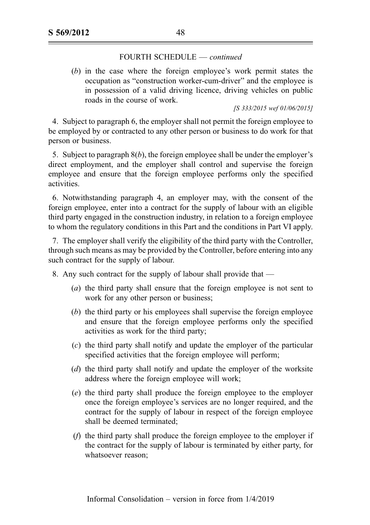(b) in the case where the foreign employee's work permit states the occupation as "construction worker-cum-driver" and the employee is in possession of a valid driving licence, driving vehicles on public roads in the course of work.

[S 333/2015 wef 01/06/2015]

4. Subject to paragraph 6, the employer shall not permit the foreign employee to be employed by or contracted to any other person or business to do work for that person or business.

5. Subject to paragraph  $8(b)$ , the foreign employee shall be under the employer's direct employment, and the employer shall control and supervise the foreign employee and ensure that the foreign employee performs only the specified activities.

6. Notwithstanding paragraph 4, an employer may, with the consent of the foreign employee, enter into a contract for the supply of labour with an eligible third party engaged in the construction industry, in relation to a foreign employee to whom the regulatory conditions in this Part and the conditions in Part VI apply.

7. The employer shall verify the eligibility of the third party with the Controller, through such means as may be provided by the Controller, before entering into any such contract for the supply of labour.

8. Any such contract for the supply of labour shall provide that —

- (a) the third party shall ensure that the foreign employee is not sent to work for any other person or business;
- (b) the third party or his employees shall supervise the foreign employee and ensure that the foreign employee performs only the specified activities as work for the third party;
- (c) the third party shall notify and update the employer of the particular specified activities that the foreign employee will perform;
- (d) the third party shall notify and update the employer of the worksite address where the foreign employee will work;
- (e) the third party shall produce the foreign employee to the employer once the foreign employee's services are no longer required, and the contract for the supply of labour in respect of the foreign employee shall be deemed terminated;
- (f) the third party shall produce the foreign employee to the employer if the contract for the supply of labour is terminated by either party, for whatsoever reason;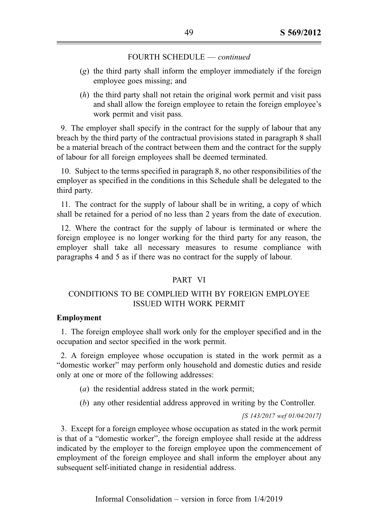- (g) the third party shall inform the employer immediately if the foreign employee goes missing; and
- (h) the third party shall not retain the original work permit and visit pass and shall allow the foreign employee to retain the foreign employee's work permit and visit pass.

9. The employer shall specify in the contract for the supply of labour that any breach by the third party of the contractual provisions stated in paragraph 8 shall be a material breach of the contract between them and the contract for the supply of labour for all foreign employees shall be deemed terminated.

10. Subject to the terms specified in paragraph 8, no other responsibilities of the employer as specified in the conditions in this Schedule shall be delegated to the third party.

11. The contract for the supply of labour shall be in writing, a copy of which shall be retained for a period of no less than 2 years from the date of execution.

12. Where the contract for the supply of labour is terminated or where the foreign employee is no longer working for the third party for any reason, the employer shall take all necessary measures to resume compliance with paragraphs 4 and 5 as if there was no contract for the supply of labour.

#### PART VI

### CONDITIONS TO BE COMPLIED WITH BY FOREIGN EMPLOYEE ISSUED WITH WORK PERMIT

#### Employment

1. The foreign employee shall work only for the employer specified and in the occupation and sector specified in the work permit.

2. A foreign employee whose occupation is stated in the work permit as a "domestic worker" may perform only household and domestic duties and reside only at one or more of the following addresses:

- (a) the residential address stated in the work permit;
- (b) any other residential address approved in writing by the Controller.

[S 143/2017 wef 01/04/2017]

3. Except for a foreign employee whose occupation as stated in the work permit is that of a "domestic worker", the foreign employee shall reside at the address indicated by the employer to the foreign employee upon the commencement of employment of the foreign employee and shall inform the employer about any subsequent self-initiated change in residential address.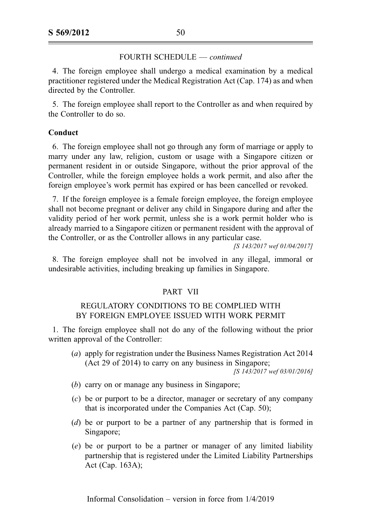4. The foreign employee shall undergo a medical examination by a medical practitioner registered under the Medical Registration Act (Cap. 174) as and when directed by the Controller.

5. The foreign employee shall report to the Controller as and when required by the Controller to do so.

### Conduct

6. The foreign employee shall not go through any form of marriage or apply to marry under any law, religion, custom or usage with a Singapore citizen or permanent resident in or outside Singapore, without the prior approval of the Controller, while the foreign employee holds a work permit, and also after the foreign employee's work permit has expired or has been cancelled or revoked.

7. If the foreign employee is a female foreign employee, the foreign employee shall not become pregnant or deliver any child in Singapore during and after the validity period of her work permit, unless she is a work permit holder who is already married to a Singapore citizen or permanent resident with the approval of the Controller, or as the Controller allows in any particular case.

[S 143/2017 wef 01/04/2017]

8. The foreign employee shall not be involved in any illegal, immoral or undesirable activities, including breaking up families in Singapore.

### PART VII

## REGULATORY CONDITIONS TO BE COMPLIED WITH BY FOREIGN EMPLOYEE ISSUED WITH WORK PERMIT

1. The foreign employee shall not do any of the following without the prior written approval of the Controller:

(a) apply for registration under the Business Names Registration Act 2014 (Act 29 of 2014) to carry on any business in Singapore;

[S 143/2017 wef 03/01/2016]

- (b) carry on or manage any business in Singapore;
- (c) be or purport to be a director, manager or secretary of any company that is incorporated under the Companies Act (Cap. 50);
- (d) be or purport to be a partner of any partnership that is formed in Singapore;
- (e) be or purport to be a partner or manager of any limited liability partnership that is registered under the Limited Liability Partnerships Act (Cap. 163A);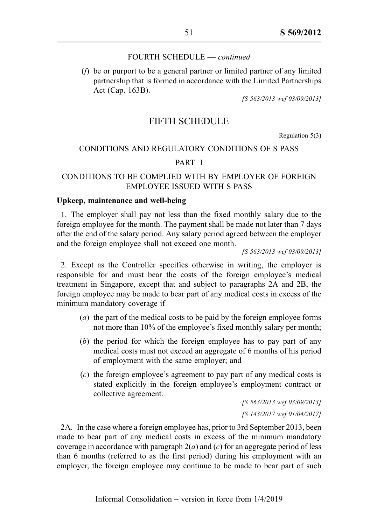(f) be or purport to be a general partner or limited partner of any limited partnership that is formed in accordance with the Limited Partnerships Act (Cap. 163B).

[S 563/2013 wef 03/09/2013]

# FIFTH SCHEDULE

Regulation 5(3)

## CONDITIONS AND REGULATORY CONDITIONS OF S PASS

# PART I

## CONDITIONS TO BE COMPLIED WITH BY EMPLOYER OF FOREIGN EMPLOYEE ISSUED WITH S PASS

### Upkeep, maintenance and well-being

1. The employer shall pay not less than the fixed monthly salary due to the foreign employee for the month. The payment shall be made not later than 7 days after the end of the salary period. Any salary period agreed between the employer and the foreign employee shall not exceed one month.

[S 563/2013 wef 03/09/2013]

2. Except as the Controller specifies otherwise in writing, the employer is responsible for and must bear the costs of the foreign employee's medical treatment in Singapore, except that and subject to paragraphs 2A and 2B, the foreign employee may be made to bear part of any medical costs in excess of the minimum mandatory coverage if —

- (a) the part of the medical costs to be paid by the foreign employee forms not more than 10% of the employee's fixed monthly salary per month;
- (b) the period for which the foreign employee has to pay part of any medical costs must not exceed an aggregate of 6 months of his period of employment with the same employer; and
- (c) the foreign employee's agreement to pay part of any medical costs is stated explicitly in the foreign employee's employment contract or collective agreement.

[S 563/2013 wef 03/09/2013] [S 143/2017 wef 01/04/2017]

2A. In the case where a foreign employee has, prior to 3rd September 2013, been made to bear part of any medical costs in excess of the minimum mandatory coverage in accordance with paragraph  $2(a)$  and (c) for an aggregate period of less than 6 months (referred to as the first period) during his employment with an employer, the foreign employee may continue to be made to bear part of such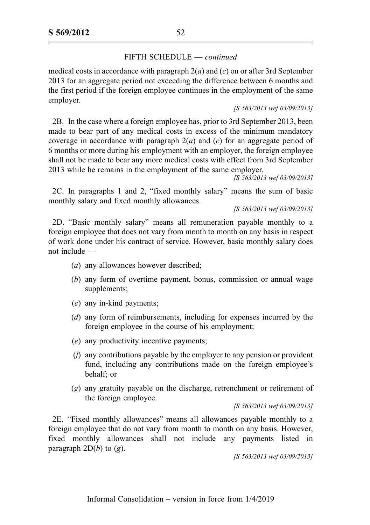medical costs in accordance with paragraph  $2(a)$  and  $(c)$  on or after 3rd September 2013 for an aggregate period not exceeding the difference between 6 months and the first period if the foreign employee continues in the employment of the same employer.

#### [S 563/2013 wef 03/09/2013]

2B. In the case where a foreign employee has, prior to 3rd September 2013, been made to bear part of any medical costs in excess of the minimum mandatory coverage in accordance with paragraph  $2(a)$  and (c) for an aggregate period of 6 months or more during his employment with an employer, the foreign employee shall not be made to bear any more medical costs with effect from 3rd September 2013 while he remains in the employment of the same employer.

[S 563/2013 wef 03/09/2013]

2C. In paragraphs 1 and 2, "fixed monthly salary" means the sum of basic monthly salary and fixed monthly allowances.

[S 563/2013 wef 03/09/2013]

2D. "Basic monthly salary" means all remuneration payable monthly to a foreign employee that does not vary from month to month on any basis in respect of work done under his contract of service. However, basic monthly salary does not include —

- (a) any allowances however described;
- (b) any form of overtime payment, bonus, commission or annual wage supplements;
- (c) any in-kind payments;
- (d) any form of reimbursements, including for expenses incurred by the foreign employee in the course of his employment;
- (e) any productivity incentive payments;
- (f) any contributions payable by the employer to any pension or provident fund, including any contributions made on the foreign employee's behalf; or
- (g) any gratuity payable on the discharge, retrenchment or retirement of the foreign employee.

[S 563/2013 wef 03/09/2013]

2E. "Fixed monthly allowances" means all allowances payable monthly to a foreign employee that do not vary from month to month on any basis. However, fixed monthly allowances shall not include any payments listed in paragraph  $2D(b)$  to  $(g)$ .

[S 563/2013 wef 03/09/2013]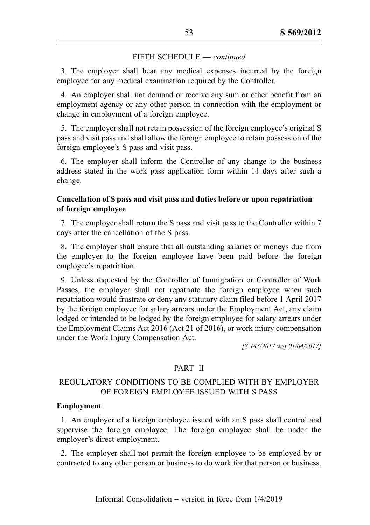3. The employer shall bear any medical expenses incurred by the foreign employee for any medical examination required by the Controller.

4. An employer shall not demand or receive any sum or other benefit from an employment agency or any other person in connection with the employment or change in employment of a foreign employee.

5. The employer shall not retain possession of the foreign employee's original S pass and visit pass and shall allow the foreign employee to retain possession of the foreign employee's S pass and visit pass.

6. The employer shall inform the Controller of any change to the business address stated in the work pass application form within 14 days after such a change.

### Cancellation of S pass and visit pass and duties before or upon repatriation of foreign employee

7. The employer shall return the S pass and visit pass to the Controller within 7 days after the cancellation of the S pass.

8. The employer shall ensure that all outstanding salaries or moneys due from the employer to the foreign employee have been paid before the foreign employee's repatriation.

9. Unless requested by the Controller of Immigration or Controller of Work Passes, the employer shall not repatriate the foreign employee when such repatriation would frustrate or deny any statutory claim filed before 1 April 2017 by the foreign employee for salary arrears under the Employment Act, any claim lodged or intended to be lodged by the foreign employee for salary arrears under the Employment Claims Act 2016 (Act 21 of 2016), or work injury compensation under the Work Injury Compensation Act.

[S 143/2017 wef 01/04/2017]

# PART II

### REGULATORY CONDITIONS TO BE COMPLIED WITH BY EMPLOYER OF FOREIGN EMPLOYEE ISSUED WITH S PASS

#### Employment

1. An employer of a foreign employee issued with an S pass shall control and supervise the foreign employee. The foreign employee shall be under the employer's direct employment.

2. The employer shall not permit the foreign employee to be employed by or contracted to any other person or business to do work for that person or business.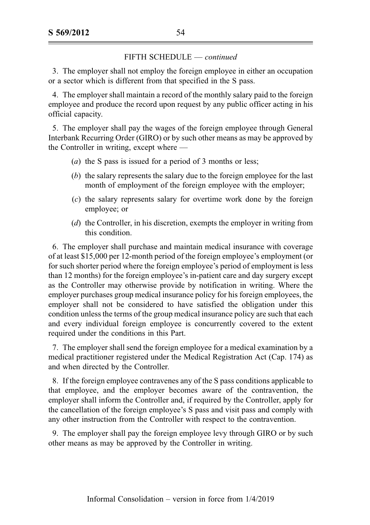3. The employer shall not employ the foreign employee in either an occupation or a sector which is different from that specified in the S pass.

4. The employer shall maintain a record of the monthly salary paid to the foreign employee and produce the record upon request by any public officer acting in his official capacity.

5. The employer shall pay the wages of the foreign employee through General Interbank Recurring Order (GIRO) or by such other means as may be approved by the Controller in writing, except where —

- (a) the S pass is issued for a period of 3 months or less;
- (b) the salary represents the salary due to the foreign employee for the last month of employment of the foreign employee with the employer;
- (c) the salary represents salary for overtime work done by the foreign employee; or
- (d) the Controller, in his discretion, exempts the employer in writing from this condition.

6. The employer shall purchase and maintain medical insurance with coverage of at least \$15,000 per 12-month period of the foreign employee's employment (or for such shorter period where the foreign employee's period of employment is less than 12 months) for the foreign employee's in-patient care and day surgery except as the Controller may otherwise provide by notification in writing. Where the employer purchases group medical insurance policy for his foreign employees, the employer shall not be considered to have satisfied the obligation under this condition unless the terms of the group medical insurance policy are such that each and every individual foreign employee is concurrently covered to the extent required under the conditions in this Part.

7. The employer shall send the foreign employee for a medical examination by a medical practitioner registered under the Medical Registration Act (Cap. 174) as and when directed by the Controller.

8. If the foreign employee contravenes any of the S pass conditions applicable to that employee, and the employer becomes aware of the contravention, the employer shall inform the Controller and, if required by the Controller, apply for the cancellation of the foreign employee's S pass and visit pass and comply with any other instruction from the Controller with respect to the contravention.

9. The employer shall pay the foreign employee levy through GIRO or by such other means as may be approved by the Controller in writing.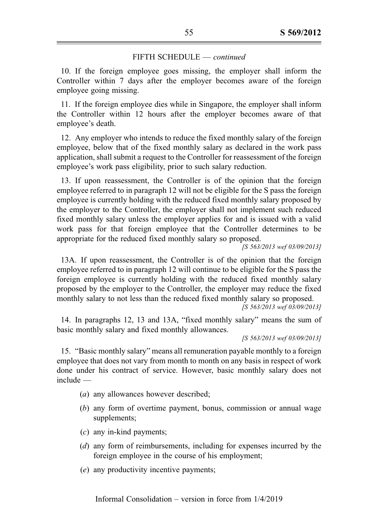10. If the foreign employee goes missing, the employer shall inform the Controller within 7 days after the employer becomes aware of the foreign employee going missing.

11. If the foreign employee dies while in Singapore, the employer shall inform the Controller within 12 hours after the employer becomes aware of that employee's death.

12. Any employer who intends to reduce the fixed monthly salary of the foreign employee, below that of the fixed monthly salary as declared in the work pass application, shall submit a request to the Controller for reassessment of the foreign employee's work pass eligibility, prior to such salary reduction.

13. If upon reassessment, the Controller is of the opinion that the foreign employee referred to in paragraph 12 will not be eligible for the S pass the foreign employee is currently holding with the reduced fixed monthly salary proposed by the employer to the Controller, the employer shall not implement such reduced fixed monthly salary unless the employer applies for and is issued with a valid work pass for that foreign employee that the Controller determines to be appropriate for the reduced fixed monthly salary so proposed.

[S 563/2013 wef 03/09/2013]

13A. If upon reassessment, the Controller is of the opinion that the foreign employee referred to in paragraph 12 will continue to be eligible for the S pass the foreign employee is currently holding with the reduced fixed monthly salary proposed by the employer to the Controller, the employer may reduce the fixed monthly salary to not less than the reduced fixed monthly salary so proposed.

[S 563/2013 wef 03/09/2013]

14. In paragraphs 12, 13 and 13A, "fixed monthly salary" means the sum of basic monthly salary and fixed monthly allowances.

[S 563/2013 wef 03/09/2013]

15. "Basic monthly salary" means all remuneration payable monthly to a foreign employee that does not vary from month to month on any basis in respect of work done under his contract of service. However, basic monthly salary does not include —

- (a) any allowances however described;
- (b) any form of overtime payment, bonus, commission or annual wage supplements;
- (c) any in-kind payments;
- (d) any form of reimbursements, including for expenses incurred by the foreign employee in the course of his employment;
- (e) any productivity incentive payments;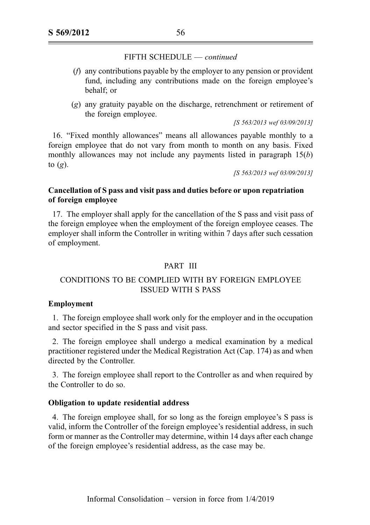- (f) any contributions payable by the employer to any pension or provident fund, including any contributions made on the foreign employee's behalf; or
- (g) any gratuity payable on the discharge, retrenchment or retirement of the foreign employee.

[S 563/2013 wef 03/09/2013]

16. "Fixed monthly allowances" means all allowances payable monthly to a foreign employee that do not vary from month to month on any basis. Fixed monthly allowances may not include any payments listed in paragraph  $15(b)$ to  $(g)$ .

[S 563/2013 wef 03/09/2013]

### Cancellation of S pass and visit pass and duties before or upon repatriation of foreign employee

17. The employer shall apply for the cancellation of the S pass and visit pass of the foreign employee when the employment of the foreign employee ceases. The employer shall inform the Controller in writing within 7 days after such cessation of employment.

### PART III

### CONDITIONS TO BE COMPLIED WITH BY FOREIGN EMPLOYEE ISSUED WITH S PASS

#### Employment

1. The foreign employee shall work only for the employer and in the occupation and sector specified in the S pass and visit pass.

2. The foreign employee shall undergo a medical examination by a medical practitioner registered under the Medical Registration Act (Cap. 174) as and when directed by the Controller.

3. The foreign employee shall report to the Controller as and when required by the Controller to do so.

#### Obligation to update residential address

4. The foreign employee shall, for so long as the foreign employee's S pass is valid, inform the Controller of the foreign employee's residential address, in such form or manner as the Controller may determine, within 14 days after each change of the foreign employee's residential address, as the case may be.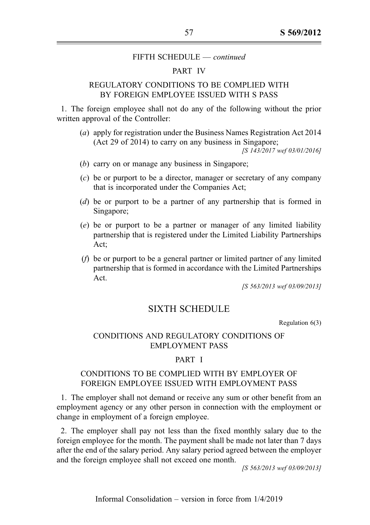#### PART IV

### REGULATORY CONDITIONS TO BE COMPLIED WITH BY FOREIGN EMPLOYEE ISSUED WITH S PASS

1. The foreign employee shall not do any of the following without the prior written approval of the Controller:

(a) apply for registration under the Business Names Registration Act 2014 (Act 29 of 2014) to carry on any business in Singapore;

[S 143/2017 wef 03/01/2016]

- (b) carry on or manage any business in Singapore;
- (c) be or purport to be a director, manager or secretary of any company that is incorporated under the Companies Act;
- (d) be or purport to be a partner of any partnership that is formed in Singapore;
- (e) be or purport to be a partner or manager of any limited liability partnership that is registered under the Limited Liability Partnerships Act;
- (f) be or purport to be a general partner or limited partner of any limited partnership that is formed in accordance with the Limited Partnerships Act.

[S 563/2013 wef 03/09/2013]

### SIXTH SCHEDULE

Regulation 6(3)

### CONDITIONS AND REGULATORY CONDITIONS OF EMPLOYMENT PASS

#### PART I

### CONDITIONS TO BE COMPLIED WITH BY EMPLOYER OF FOREIGN EMPLOYEE ISSUED WITH EMPLOYMENT PASS

1. The employer shall not demand or receive any sum or other benefit from an employment agency or any other person in connection with the employment or change in employment of a foreign employee.

2. The employer shall pay not less than the fixed monthly salary due to the foreign employee for the month. The payment shall be made not later than 7 days after the end of the salary period. Any salary period agreed between the employer and the foreign employee shall not exceed one month.

[S 563/2013 wef 03/09/2013]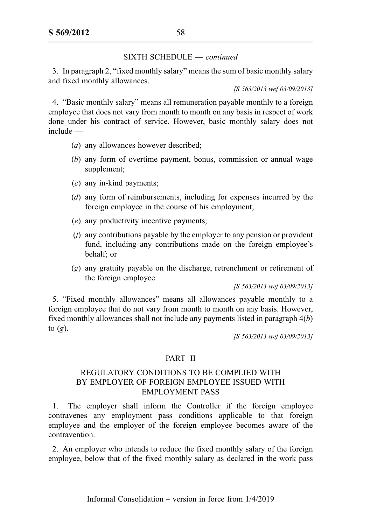3. In paragraph 2, "fixed monthly salary" means the sum of basic monthly salary and fixed monthly allowances.

[S 563/2013 wef 03/09/2013]

4. "Basic monthly salary" means all remuneration payable monthly to a foreign employee that does not vary from month to month on any basis in respect of work done under his contract of service. However, basic monthly salary does not include —

- (a) any allowances however described;
- (b) any form of overtime payment, bonus, commission or annual wage supplement;
- (c) any in-kind payments;
- (d) any form of reimbursements, including for expenses incurred by the foreign employee in the course of his employment;
- (e) any productivity incentive payments;
- (f) any contributions payable by the employer to any pension or provident fund, including any contributions made on the foreign employee's behalf; or
- (g) any gratuity payable on the discharge, retrenchment or retirement of the foreign employee.

[S 563/2013 wef 03/09/2013]

5. "Fixed monthly allowances" means all allowances payable monthly to a foreign employee that do not vary from month to month on any basis. However, fixed monthly allowances shall not include any payments listed in paragraph 4(b) to  $(g)$ .

[S 563/2013 wef 03/09/2013]

### PART II

## REGULATORY CONDITIONS TO BE COMPLIED WITH BY EMPLOYER OF FOREIGN EMPLOYEE ISSUED WITH EMPLOYMENT PASS

1. The employer shall inform the Controller if the foreign employee contravenes any employment pass conditions applicable to that foreign employee and the employer of the foreign employee becomes aware of the contravention.

2. An employer who intends to reduce the fixed monthly salary of the foreign employee, below that of the fixed monthly salary as declared in the work pass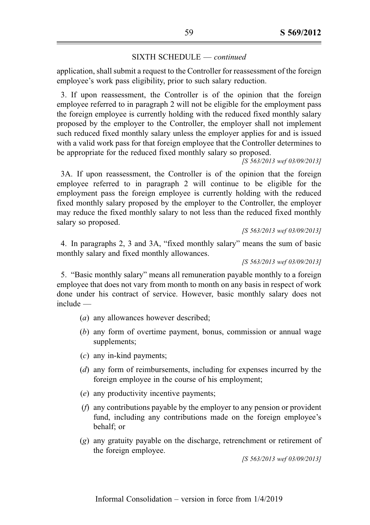application, shall submit a request to the Controller for reassessment of the foreign employee's work pass eligibility, prior to such salary reduction.

3. If upon reassessment, the Controller is of the opinion that the foreign employee referred to in paragraph 2 will not be eligible for the employment pass the foreign employee is currently holding with the reduced fixed monthly salary proposed by the employer to the Controller, the employer shall not implement such reduced fixed monthly salary unless the employer applies for and is issued with a valid work pass for that foreign employee that the Controller determines to be appropriate for the reduced fixed monthly salary so proposed.

[S 563/2013 wef 03/09/2013]

3A. If upon reassessment, the Controller is of the opinion that the foreign employee referred to in paragraph 2 will continue to be eligible for the employment pass the foreign employee is currently holding with the reduced fixed monthly salary proposed by the employer to the Controller, the employer may reduce the fixed monthly salary to not less than the reduced fixed monthly salary so proposed.

[S 563/2013 wef 03/09/2013]

4. In paragraphs 2, 3 and 3A, "fixed monthly salary" means the sum of basic monthly salary and fixed monthly allowances.

[S 563/2013 wef 03/09/2013]

5. "Basic monthly salary" means all remuneration payable monthly to a foreign employee that does not vary from month to month on any basis in respect of work done under his contract of service. However, basic monthly salary does not include —

- (a) any allowances however described;
- (b) any form of overtime payment, bonus, commission or annual wage supplements;
- (c) any in-kind payments;
- (d) any form of reimbursements, including for expenses incurred by the foreign employee in the course of his employment;
- (e) any productivity incentive payments;
- (f) any contributions payable by the employer to any pension or provident fund, including any contributions made on the foreign employee's behalf; or
- (g) any gratuity payable on the discharge, retrenchment or retirement of the foreign employee.

[S 563/2013 wef 03/09/2013]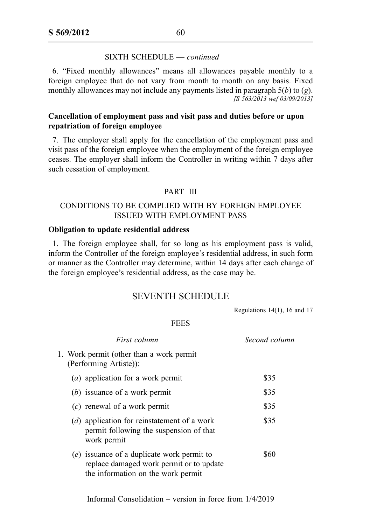6. "Fixed monthly allowances" means all allowances payable monthly to a foreign employee that do not vary from month to month on any basis. Fixed monthly allowances may not include any payments listed in paragraph  $5(b)$  to (g). [S 563/2013 wef 03/09/2013]

### Cancellation of employment pass and visit pass and duties before or upon repatriation of foreign employee

7. The employer shall apply for the cancellation of the employment pass and visit pass of the foreign employee when the employment of the foreign employee ceases. The employer shall inform the Controller in writing within 7 days after such cessation of employment.

#### PART III

### CONDITIONS TO BE COMPLIED WITH BY FOREIGN EMPLOYEE ISSUED WITH EMPLOYMENT PASS

#### Obligation to update residential address

1. The foreign employee shall, for so long as his employment pass is valid, inform the Controller of the foreign employee's residential address, in such form or manner as the Controller may determine, within 14 days after each change of the foreign employee's residential address, as the case may be.

### SEVENTH SCHEDULE

Regulations 14(1), 16 and 17

#### **FEES**

| First column                                                                                                                 | Second column |  |
|------------------------------------------------------------------------------------------------------------------------------|---------------|--|
| 1. Work permit (other than a work permit<br>(Performing Artiste)):                                                           |               |  |
| (a) application for a work permit                                                                                            | \$35          |  |
| $(b)$ issuance of a work permit                                                                                              | \$35          |  |
| $(c)$ renewal of a work permit                                                                                               | \$35          |  |
| (d) application for reinstatement of a work<br>permit following the suspension of that<br>work permit                        | \$35          |  |
| (e) issuance of a duplicate work permit to<br>replace damaged work permit or to update<br>the information on the work permit | \$60          |  |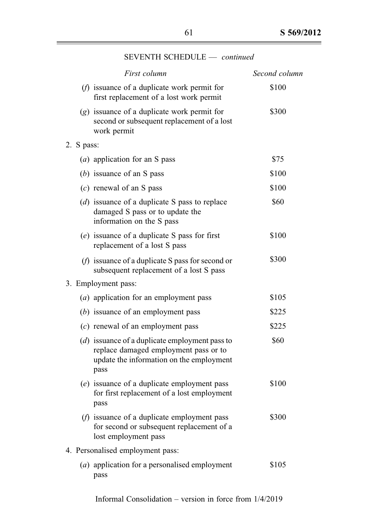|            | First column                                                                                                                                | Second column |
|------------|---------------------------------------------------------------------------------------------------------------------------------------------|---------------|
|            | $(f)$ issuance of a duplicate work permit for<br>first replacement of a lost work permit                                                    | \$100         |
|            | (g) issuance of a duplicate work permit for<br>second or subsequent replacement of a lost<br>work permit                                    | \$300         |
| 2. S pass: |                                                                                                                                             |               |
|            | ( <i>a</i> ) application for an S pass                                                                                                      | \$75          |
|            | (b) issuance of an S pass                                                                                                                   | \$100         |
|            | $(c)$ renewal of an S pass                                                                                                                  | \$100         |
|            | ( $d$ ) issuance of a duplicate S pass to replace<br>damaged S pass or to update the<br>information on the S pass                           | \$60          |
|            | $(e)$ issuance of a duplicate S pass for first<br>replacement of a lost S pass                                                              | \$100         |
|            | $(f)$ issuance of a duplicate S pass for second or<br>subsequent replacement of a lost S pass                                               | \$300         |
|            | 3. Employment pass:                                                                                                                         |               |
|            | (a) application for an employment pass                                                                                                      | \$105         |
|            | $(b)$ issuance of an employment pass                                                                                                        | \$225         |
|            | $(c)$ renewal of an employment pass                                                                                                         | \$225         |
|            | (d) issuance of a duplicate employment pass to<br>replace damaged employment pass or to<br>update the information on the employment<br>pass | \$60          |
|            | (e) issuance of a duplicate employment pass<br>for first replacement of a lost employment<br>pass                                           | \$100         |
|            | (f) issuance of a duplicate employment pass<br>for second or subsequent replacement of a<br>lost employment pass                            | \$300         |
|            | 4. Personalised employment pass:                                                                                                            |               |
|            | (a) application for a personalised employment<br>pass                                                                                       | \$105         |
|            |                                                                                                                                             |               |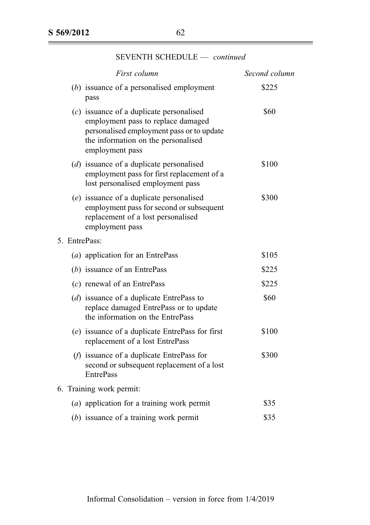5. EntrePass:

|               | First column                                                                                                                                                                            | Second column |
|---------------|-----------------------------------------------------------------------------------------------------------------------------------------------------------------------------------------|---------------|
|               | (b) issuance of a personalised employment<br>pass                                                                                                                                       | \$225         |
|               | $(c)$ issuance of a duplicate personalised<br>employment pass to replace damaged<br>personalised employment pass or to update<br>the information on the personalised<br>employment pass | \$60          |
|               | $(d)$ issuance of a duplicate personalised<br>employment pass for first replacement of a<br>lost personalised employment pass                                                           | \$100         |
|               | (e) issuance of a duplicate personalised<br>employment pass for second or subsequent<br>replacement of a lost personalised<br>employment pass                                           | \$300         |
| 5. EntrePass: |                                                                                                                                                                                         |               |
|               | (a) application for an EntrePass                                                                                                                                                        | \$105         |
|               | $(b)$ issuance of an EntrePass                                                                                                                                                          | \$225         |
|               | $(c)$ renewal of an EntrePass                                                                                                                                                           | \$225         |
|               | ( $d$ ) issuance of a duplicate EntrePass to<br>replace damaged EntrePass or to update<br>the information on the EntrePass                                                              | \$60          |
|               | (e) issuance of a duplicate EntrePass for first<br>replacement of a lost EntrePass                                                                                                      | \$100         |
|               | $(f)$ issuance of a duplicate EntrePass for<br>second or subsequent replacement of a lost<br><b>EntrePass</b>                                                                           | \$300         |
|               | 6. Training work permit:                                                                                                                                                                |               |
|               | (a) application for a training work permit                                                                                                                                              | \$35          |
|               | $(b)$ issuance of a training work permit                                                                                                                                                | \$35          |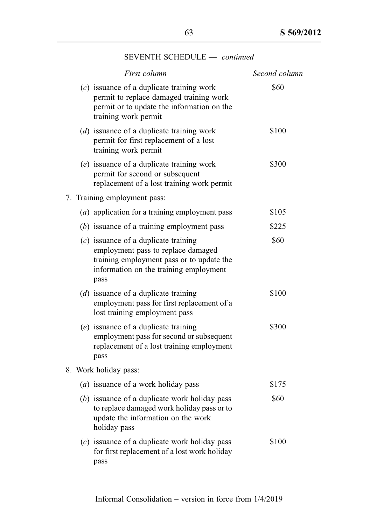|  | First column                                                                                                                                                                | Second column |
|--|-----------------------------------------------------------------------------------------------------------------------------------------------------------------------------|---------------|
|  | $(c)$ issuance of a duplicate training work<br>permit to replace damaged training work<br>permit or to update the information on the<br>training work permit                | \$60          |
|  | $(d)$ issuance of a duplicate training work<br>permit for first replacement of a lost<br>training work permit                                                               | \$100         |
|  | $(e)$ issuance of a duplicate training work<br>permit for second or subsequent<br>replacement of a lost training work permit                                                | \$300         |
|  | 7. Training employment pass:                                                                                                                                                |               |
|  | (a) application for a training employment pass                                                                                                                              | \$105         |
|  | $(b)$ issuance of a training employment pass                                                                                                                                | \$225         |
|  | $(c)$ issuance of a duplicate training<br>employment pass to replace damaged<br>training employment pass or to update the<br>information on the training employment<br>pass | \$60          |
|  | $(d)$ issuance of a duplicate training<br>employment pass for first replacement of a<br>lost training employment pass                                                       | \$100         |
|  | $(e)$ issuance of a duplicate training<br>employment pass for second or subsequent<br>replacement of a lost training employment<br>pass                                     | \$300         |
|  | 8. Work holiday pass:                                                                                                                                                       |               |
|  | (a) issuance of a work holiday pass                                                                                                                                         | \$175         |
|  | (b) issuance of a duplicate work holiday pass<br>to replace damaged work holiday pass or to<br>update the information on the work<br>holiday pass                           | \$60          |
|  | $(c)$ issuance of a duplicate work holiday pass<br>for first replacement of a lost work holiday<br>pass                                                                     | \$100         |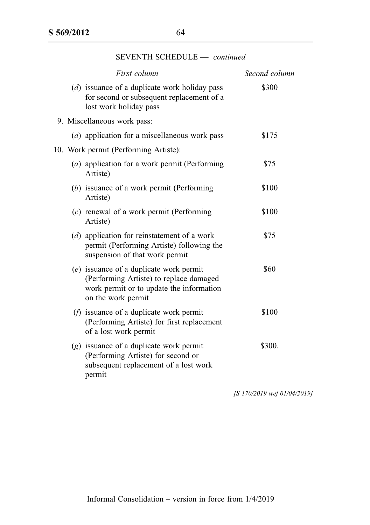|  | First column                                                                                                                                         | Second column               |
|--|------------------------------------------------------------------------------------------------------------------------------------------------------|-----------------------------|
|  | $(d)$ issuance of a duplicate work holiday pass<br>for second or subsequent replacement of a<br>lost work holiday pass                               | \$300                       |
|  | 9. Miscellaneous work pass:                                                                                                                          |                             |
|  | (a) application for a miscellaneous work pass                                                                                                        | \$175                       |
|  | 10. Work permit (Performing Artiste):                                                                                                                |                             |
|  | (a) application for a work permit (Performing<br>Artiste)                                                                                            | \$75                        |
|  | (b) issuance of a work permit (Performing<br>Artiste)                                                                                                | \$100                       |
|  | $(c)$ renewal of a work permit (Performing<br>Artiste)                                                                                               | \$100                       |
|  | $(d)$ application for reinstatement of a work<br>permit (Performing Artiste) following the<br>suspension of that work permit                         | \$75                        |
|  | (e) issuance of a duplicate work permit<br>(Performing Artiste) to replace damaged<br>work permit or to update the information<br>on the work permit | \$60                        |
|  | $(f)$ issuance of a duplicate work permit<br>(Performing Artiste) for first replacement<br>of a lost work permit                                     | \$100                       |
|  | (g) issuance of a duplicate work permit<br>(Performing Artiste) for second or<br>subsequent replacement of a lost work<br>permit                     | \$300.                      |
|  |                                                                                                                                                      | [S 170/2019 wef 01/04/2019] |